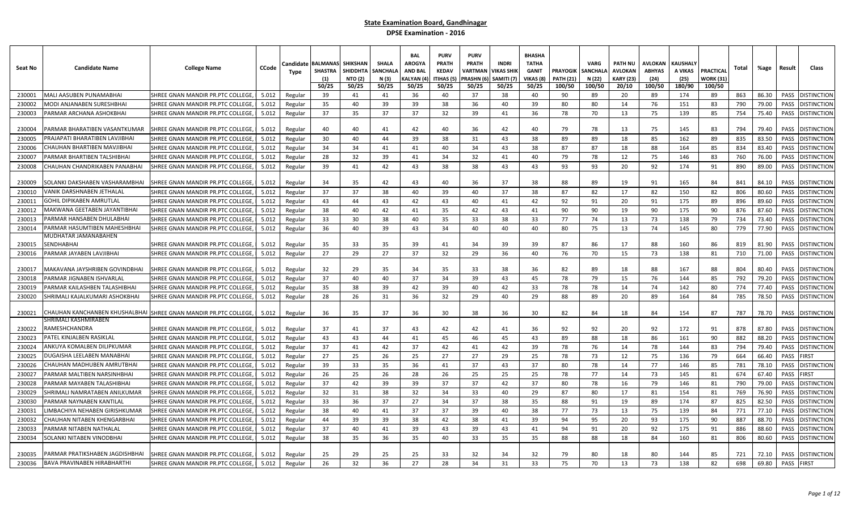| Seat No | <b>Candidate Name</b>                                            | <b>College Name</b>               | CCode | Candidate<br>Type | BALMANA<br><b>SHASTRA</b><br>(1)<br>50/25 | <b>SHIKSHAN</b><br>SHIDDHTA<br><b>NTO (2)</b><br>50/25 | <b>SHALA</b><br>SANCHAL<br>N (3)<br>50/25 | <b>BAL</b><br><b>AROGYA</b><br><b>AND BAL</b><br>KALYAN (<br>50/25 | <b>PURV</b><br>PRATH<br><b>KEDAV</b><br>ITIHAS (5)<br>50/25 | <b>PURV</b><br><b>PRATH</b><br>VARTMAN<br>PRASHN (۱<br>50/25 | <b>INDRI</b><br>/IKAS SHIK<br>SAMITI (7<br>50/25 | <b>BHASHA</b><br><b>TATHA</b><br><b>GANIT</b><br>VIKAS (8<br>50/25 | PRAYOGIK<br><b>PATH (21)</b><br>100/50 | <b>VARG</b><br><b>SANCHALA</b><br>N (22)<br>100/50 | PATH NU<br>AVLOKAN<br><b>KARY (23)</b><br>20/10 | AVLOKAN<br><b>ABHYAS</b><br>(24)<br>100/50 | KAUSHALY<br>A VIKAS<br>(25)<br>180/90 | PRACTICAL<br>WORK (31)<br>100/50 | Total | %age  | Result | Class              |
|---------|------------------------------------------------------------------|-----------------------------------|-------|-------------------|-------------------------------------------|--------------------------------------------------------|-------------------------------------------|--------------------------------------------------------------------|-------------------------------------------------------------|--------------------------------------------------------------|--------------------------------------------------|--------------------------------------------------------------------|----------------------------------------|----------------------------------------------------|-------------------------------------------------|--------------------------------------------|---------------------------------------|----------------------------------|-------|-------|--------|--------------------|
| 230001  | MALI AASUBEN PUNAMABHAI                                          | SHREE GNAN MANDIR PR.PTC COLLEGE, | 5.012 | Regular           | 39                                        | 41                                                     | 41                                        | 36                                                                 | 40                                                          | 37                                                           | 38                                               | 40                                                                 | 90                                     | 89                                                 | 20                                              | 89                                         | 174                                   | 89                               | 863   | 86.30 | PASS   | <b>DISTINCTION</b> |
| 230002  | MODI ANJANABEN SURESHBHAI                                        | SHREE GNAN MANDIR PR.PTC COLLEGE  | 5.012 | Regular           | 35                                        | 40                                                     | 39                                        | 39                                                                 | 38                                                          | 36                                                           | 40                                               | 39                                                                 | 80                                     | 80                                                 | 14                                              | 76                                         | 151                                   | 83                               | 790   | 79.00 | PASS   | <b>DISTINCTION</b> |
| 230003  | PARMAR ARCHANA ASHOKBHAI                                         | SHREE GNAN MANDIR PR.PTC COLLEGE, | 5.012 | Regular           | 37                                        | 35                                                     | 37                                        | 37                                                                 | 32                                                          | 39                                                           | 41                                               | 36                                                                 | 78                                     | 70                                                 | 13                                              | 75                                         | 139                                   | 85                               | 754   | 75.40 | PASS   | DISTINCTION        |
| 230004  | PARMAR BHARATIBEN VASANTKUMAR                                    | SHREE GNAN MANDIR PR.PTC COLLEGE, | 5.012 | Regular           | 40                                        | 40                                                     | 41                                        | 42                                                                 | 40                                                          | 36                                                           | 42                                               | 40                                                                 | 79                                     | 78                                                 | 13                                              | 75                                         | 145                                   | 83                               | 794   | 79.40 | PASS   | <b>ISTINCTION</b>  |
| 230005  | PRAJAPATI BHARATIBEN LAVJIBHAI                                   | SHREE GNAN MANDIR PR.PTC COLLEGE, | 5.012 | Regular           | 30                                        | 40                                                     | 44                                        | 39                                                                 | 38                                                          | 31                                                           | 43                                               | 38                                                                 | 89                                     | 89                                                 | 18                                              | 85                                         | 162                                   | 89                               | 835   | 83.50 | PASS   | <b>DISTINCTION</b> |
| 230006  | CHAUHAN BHARTIBEN MAVJIBHAI                                      | SHREE GNAN MANDIR PR.PTC COLLEGE, | 5.012 | Regular           | 34                                        | 34                                                     | 41                                        | 41                                                                 | 40                                                          | 34                                                           | 43                                               | 38                                                                 | 87                                     | 87                                                 | 18                                              | 88                                         | 164                                   | 85                               | 834   | 83.40 | PASS   | <b>ISTINCTION</b>  |
| 230007  | PARMAR BHARTIBEN TALSHIBHAI                                      | SHREE GNAN MANDIR PR.PTC COLLEGE, | 5.012 | Regular           | 28                                        | 32                                                     | 39                                        | 41                                                                 | -34                                                         | 32                                                           | 41                                               | 40                                                                 | 79                                     | 78                                                 | 12                                              | -75                                        | 146                                   | 83                               | 760   | 76.00 | PASS   | )ISTINCTION        |
| 230008  | CHAUHAN CHANDRIKABEN PANABHAI                                    | SHREE GNAN MANDIR PR.PTC COLLEGE, | 5.012 | Regular           | 39                                        | 41                                                     | 42                                        | 43                                                                 | 38                                                          | 38                                                           | 43                                               | 43                                                                 | 93                                     | 93                                                 | 20                                              | 92                                         | 174                                   | 91                               | 890   | 89.00 | PASS   | <b>DISTINCTION</b> |
| 230009  | SOLANKI DAKSHABEN VASHARAMBHAI                                   | SHREE GNAN MANDIR PR.PTC COLLEGE, | 5.012 | Regular           | 34                                        | 35                                                     | 42                                        | 43                                                                 | 40                                                          | 36                                                           | 37                                               | 38                                                                 | 88                                     | 89                                                 | -19                                             | 91                                         | 165                                   | -84                              | 841   | 84.10 | PASS   | <b>DISTINCTION</b> |
| 230010  | VANIK DARSHNABEN JETHALAL                                        | SHREE GNAN MANDIR PR.PTC COLLEGE  | 5.012 | Regular           | 37                                        | 37                                                     | 38                                        | 40                                                                 | 39                                                          | 40                                                           | 37                                               | 38                                                                 | 87                                     | 82                                                 | 17                                              | 82                                         | 150                                   | 82                               | 806   | 80.60 | PASS   | <b>DISTINCTION</b> |
| 230011  | <b>GOHIL DIPIKABEN AMRUTLAL</b>                                  | SHREE GNAN MANDIR PR.PTC COLLEGE  | 5.012 | Regular           | 43                                        | 44                                                     | 43                                        | 42                                                                 | 43                                                          | 40                                                           | 41                                               | 42                                                                 | 92                                     | 91                                                 | 20                                              | 91                                         | 175                                   | 89                               | 896   | 89.60 | PASS   | <b>ISTINCTION</b>  |
| 230012  | MAKWANA GEETABEN JAYANTIBHAI                                     | SHREE GNAN MANDIR PR.PTC COLLEGE, | 5.012 | Regular           | 38                                        | 40                                                     | 42                                        | 41                                                                 | 35                                                          | 42                                                           | 43                                               | 41                                                                 | 90                                     | 90                                                 | 19                                              | 90                                         | 175                                   | 90                               | 876   | 87.60 | PASS   | <b>DISTINCTION</b> |
| 230013  | PARMAR HANSABEN DHULABHAI                                        | SHREE GNAN MANDIR PR.PTC COLLEGE, | 5.012 | Regular           | 33                                        | 30                                                     | 38                                        | 40                                                                 | 35                                                          | 33                                                           | 38                                               | 33                                                                 | 77                                     | 74                                                 | 13                                              | 73                                         | 138                                   | 79                               | 734   | 73.40 | PASS   | <b>DISTINCTION</b> |
| 230014  | PARMAR HASUMTIBEN MAHESHBHAI                                     | SHREE GNAN MANDIR PR.PTC COLLEGE, | 5.012 | Regular           | 36                                        | 40                                                     | 39                                        | 43                                                                 | 34                                                          | 40                                                           | 40                                               | 40                                                                 | 80                                     | 75                                                 | 13                                              | 74                                         | 145                                   | 80                               | 779   | 77.90 | PASS   | <b>ISTINCTION</b>  |
|         | MUDHATAR JAMANABAHEN                                             |                                   |       |                   |                                           |                                                        |                                           |                                                                    |                                                             |                                                              |                                                  |                                                                    |                                        |                                                    |                                                 |                                            |                                       |                                  |       |       |        |                    |
| 230015  | <b>SENDHABHAI</b>                                                | SHREE GNAN MANDIR PR.PTC COLLEGE, | 5.012 | Regular           | 35                                        | 33                                                     | 35                                        | 39                                                                 | 41                                                          | 34                                                           | 39                                               | 39                                                                 | 87                                     | 86                                                 | 17                                              | 88                                         | 160                                   | 86                               | 819   | 81.90 | PASS   | DISTINCTION        |
| 230016  | PARMAR JAYABEN LAVJIBHAI                                         | SHREE GNAN MANDIR PR.PTC COLLEGE, | 5.012 | Regular           | 27                                        | 29                                                     | 27                                        | 37                                                                 | 32                                                          | 29                                                           | 36                                               | 40                                                                 | 76                                     | 70                                                 | 15                                              | 73                                         | 138                                   | 81                               | 710   | 71.00 | PASS   | <b>DISTINCTION</b> |
| 230017  | MAKAVANA JAYSHRIBEN GOVINDBHAI                                   | SHREE GNAN MANDIR PR.PTC COLLEGE, | 5.012 | Regular           | 32                                        | 29                                                     | 35                                        | 34                                                                 | 35                                                          | 33                                                           | 38                                               | 36                                                                 | 82                                     | 89                                                 | 18                                              | 88                                         | 167                                   | 88                               | 804   | 80.40 | PASS   | DISTINCTION        |
| 230018  | PARMAR JIGNABEN ISHVARLAI                                        | SHREE GNAN MANDIR PR.PTC COLLEGE, | 5.012 | Regular           | 37                                        | 40                                                     | 40                                        | 37                                                                 | 34                                                          | 39                                                           | 43                                               | 45                                                                 | 78                                     | 79                                                 | 15                                              | -76                                        | 144                                   | 85                               | 792   | 79.20 | PASS   | <b>JISTINCTION</b> |
| 230019  | PARMAR KAILASHBEN TALASHIBHAI                                    | SHREE GNAN MANDIR PR.PTC COLLEGE, | 5.012 | Regular           | 35                                        | 38                                                     | 39                                        | 42                                                                 | 39                                                          | 40                                                           | 42                                               | 33                                                                 | 78                                     | 78                                                 | 14                                              | 74                                         | 142                                   | 80                               | 774   | 77.40 | PASS   | <b>ISTINCTION</b>  |
| 230020  | SHRIMALI KAJALKUMARI ASHOKBHAI                                   | SHREE GNAN MANDIR PR.PTC COLLEGE, | 5.012 | Regular           | 28                                        | 26                                                     | 31                                        | 36                                                                 | 32                                                          | 29                                                           | 40                                               | 29                                                                 | 88                                     | 89                                                 | 20                                              | 89                                         | 164                                   | 84                               | 785   | 78.50 | PASS   | <b>DISTINCTION</b> |
| 230021  | CHAUHAN KANCHANBEN KHUSHALBHAI SHREE GNAN MANDIR PR.PTC COLLEGE, |                                   | 5.012 | Regular           | 36                                        | 35                                                     | 37                                        | 36                                                                 | 30                                                          | 38                                                           | 36                                               | 30                                                                 | 82                                     | 84                                                 | 18                                              | 84                                         | 154                                   | 87                               | 787   | 78.70 | PASS   | <b>DISTINCTION</b> |
| 230022  | SHRIMALI KASHMIRABEN<br>RAMESHCHANDRA                            | SHREE GNAN MANDIR PR.PTC COLLEGE, | 5.012 | Regular           | 37                                        | 41                                                     | 37                                        | 43                                                                 | 42                                                          | 42                                                           | 41                                               | 36                                                                 | 92                                     | 92                                                 | 20                                              | 92                                         | 172                                   | 91                               | 878   | 87.80 | PASS   | <b>DISTINCTION</b> |
| 230023  | PATEL KINJALBEN RASIKLAL                                         | SHREE GNAN MANDIR PR.PTC COLLEGE, | 5.012 | Regular           | 43                                        | 43                                                     | 44                                        | 41                                                                 | 45                                                          | 46                                                           | 45                                               | 43                                                                 | 89                                     | 88                                                 | 18                                              | 86                                         | 161                                   | 90                               | 882   | 88.20 | PASS   | DISTINCTION        |
| 230024  | ANKUYA KOMALBEN DILIPKUMAR                                       | SHREE GNAN MANDIR PR.PTC COLLEGE, | 5.012 | Regular           | 37                                        | 41                                                     | 42                                        | 37                                                                 | 42                                                          | 41                                                           | 42                                               | 39                                                                 | 78                                     | 76                                                 | 14                                              | 78                                         | 144                                   | 83                               | 794   | 79.40 | PASS   | <b>ISTINCTION</b>  |
| 230025  | DUGAISHA LEELABEN MANABHAI                                       | SHREE GNAN MANDIR PR.PTC COLLEGE, | 5.012 | Regular           | 27                                        | 25                                                     | 26                                        | 25                                                                 | 27                                                          | 27                                                           | 29                                               | 25                                                                 | 78                                     | 73                                                 | 12                                              | 75                                         | 136                                   | 79                               | 664   | 66.40 | PASS   | <b>IRST</b>        |
| 230026  | CHAUHAN MADHUBEN AMRUTBHAI                                       | SHREE GNAN MANDIR PR.PTC COLLEGE, | 5.012 | Regular           | 39                                        | 33                                                     | 35                                        | 36                                                                 | 41                                                          | 37                                                           | 43                                               | 37                                                                 | 80                                     | 78                                                 | 14                                              | 77                                         | 146                                   | 85                               | 781   | 78.10 | PASS   | <b>DISTINCTION</b> |
| 230027  | PARMAR MALTIBEN NARSINHBHA                                       | SHREE GNAN MANDIR PR.PTC COLLEGE, | 5.012 | Regular           | 26                                        | 25                                                     | 26                                        | 28                                                                 | 26                                                          | 25                                                           | 25                                               | 25                                                                 | 78                                     | 77                                                 | 14                                              | 73                                         | 145                                   | 81                               | 674   | 67.40 | PASS   | <b>IRST</b>        |
| 230028  | PARMAR MAYABEN TALASHIBHAI                                       | SHREE GNAN MANDIR PR.PTC COLLEGE, | 5.012 | Regular           | 37                                        | 42                                                     | 39                                        | 39                                                                 | 37                                                          | 37                                                           | 42                                               | 37                                                                 | 80                                     | 78                                                 | 16                                              | 79                                         | 146                                   | 81                               | 790   | 79.00 | PASS   | <b>DISTINCTION</b> |
| 230029  | SHRIMALI NAMRATABEN ANILKUMAR                                    | SHREE GNAN MANDIR PR.PTC COLLEGE, | 5.012 | Regular           | 32                                        | 31                                                     | 38                                        | 32                                                                 | 34                                                          | 33                                                           | 40                                               | 29                                                                 | 87                                     | 80                                                 | 17                                              | 81                                         | 154                                   | 81                               | 769   | 76.90 | PASS   | <b>ISTINCTION</b>  |
| 230030  | PARMAR NAYNABEN KANTILAL                                         | SHREE GNAN MANDIR PR.PTC COLLEGE, | 5.012 | Regular           | 33                                        | 36                                                     | 37                                        | 27                                                                 | 34                                                          | 37                                                           | 38                                               | 35                                                                 | 88                                     | 91                                                 | 19                                              | 89                                         | 174                                   | 87                               | 825   | 82.50 | PASS   | <b>DISTINCTION</b> |
| 230031  | IMBACHIYA NEHABEN GIRISHKUMAR                                    | SHREE GNAN MANDIR PR.PTC COLLEGE, | 5.012 | Regular           | 38                                        | 40                                                     | 41                                        | 37                                                                 | 37                                                          | 39                                                           | 40                                               | 38                                                                 | 77                                     | 73                                                 | 13                                              | 75                                         | 139                                   | 84                               | 771   | 77.10 | PASS   | <b>ISTINCTION</b>  |
| 230032  | CHAUHAN NITABEN KHENGARBHAI                                      | SHREE GNAN MANDIR PR.PTC COLLEGE, | 5.012 | Regular           | 44                                        | 39                                                     | 39                                        | 38                                                                 | 42                                                          | 38                                                           | 41                                               | 39                                                                 | 94                                     | 95                                                 | 20                                              | 93                                         | 175                                   | 90                               | 887   | 88.70 | PASS   | <b>ISTINCTION</b>  |
| 230033  | PARMAR NITABEN NATHALAL                                          | SHREE GNAN MANDIR PR.PTC COLLEGE, | 5.012 | Regular           | 37                                        | 40                                                     | 41                                        | 39                                                                 | 43                                                          | 39                                                           | 43                                               | 41                                                                 | 94                                     | 91                                                 | 20                                              | 92                                         | 175                                   | 91                               | 886   | 88.60 | PASS   | nstinction         |
| 230034  | SOLANKI NITABEN VINODBHAI                                        | SHREE GNAN MANDIR PR.PTC COLLEGE, | 5.012 | Regular           | 38                                        | 35                                                     | 36                                        | 35                                                                 | 40                                                          | 33                                                           | 35                                               | 35                                                                 | 88                                     | 88                                                 | 18                                              | 84                                         | 160                                   | 81                               | 806   | 80.60 | PASS   | <b>DISTINCTION</b> |
| 230035  | PARMAR PRATIKSHABEN JAGDISHBHAI                                  | SHREE GNAN MANDIR PR.PTC COLLEGE, | 5.012 | Regular           | 25                                        | 29                                                     | 25                                        | 25                                                                 | 33                                                          | 32                                                           | -34                                              | 32                                                                 | 79                                     | 80                                                 | 18                                              | 80                                         | 144                                   | 85                               | 721   | 72.10 | PASS   | )ISTINCTION        |
| 230036  | <b>BAVA PRAVINABEN HIRABHARTHI</b>                               | SHREE GNAN MANDIR PR.PTC COLLEGE, | 5.012 | Regular           | 26                                        | 32                                                     | 36                                        | 27                                                                 | 28                                                          | 34                                                           | 31                                               | 33                                                                 | 75                                     | 70                                                 | 13                                              | 73                                         | 138                                   | 82                               | 698   | 69.80 | PASS   | FIRST              |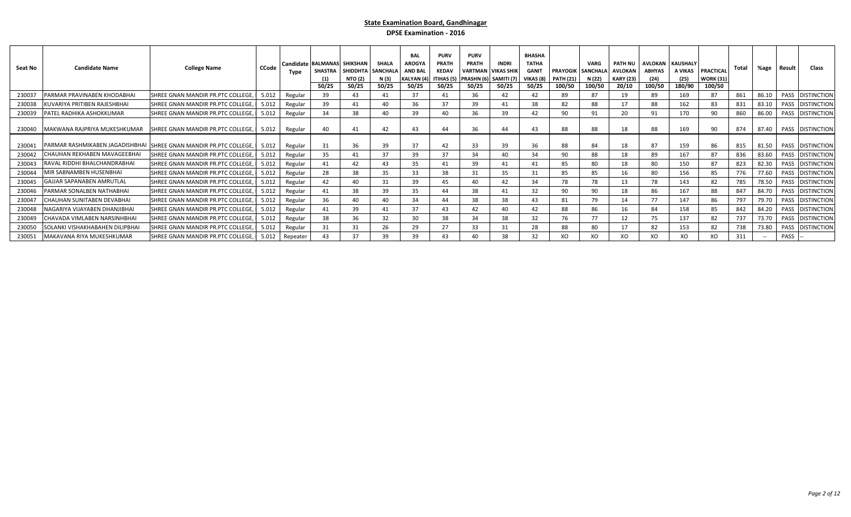| Seat No | <b>Candidate Name</b>               | <b>College Name</b>                                                  | CCode | Type     | Candidate BALMANAS SHIKSHAN<br>50/25 | SHASTRA SHIDDHTA<br><b>NTO (2)</b><br>50/25 | <b>SHALA</b><br><b>SANCHALA</b><br>N (3)<br>50/25 | <b>BAL</b><br><b>AROGYA</b><br><b>AND BAI</b><br><b>KALYAN (4</b><br>50/25 | <b>PURV</b><br>PRATH<br><b>KEDAV</b><br>50/25 | <b>PURV</b><br><b>PRATH</b><br>ITIHAS (5) PRASHN (6) SAMITI (7)<br>50/25 | <b>INDRI</b><br><b>VARTMAN   VIKAS SHII</b><br>50/25 | <b>BHASHA</b><br><b>TATHA</b><br><b>GANIT</b><br>VIKAS (8)<br>50/25 | <b>PRAYOGIK</b><br><b>PATH (21)</b><br>100/50 | <b>VARG</b><br><b>SANCHAL</b><br>N (22)<br>100/50 | <b>PATH NU</b><br><b>AVLOKAN</b><br><b>KARY (23)</b><br>20/10 | <b>ABHYAS</b><br>(24)<br>100/50 | <b>AVLOKAN KAUSHALY</b><br>A VIKAS<br>(25)<br>180/90 | PRACTICAL<br><b>WORK (31)</b><br>100/50 | Total | %age                                           | Result      | Class              |
|---------|-------------------------------------|----------------------------------------------------------------------|-------|----------|--------------------------------------|---------------------------------------------|---------------------------------------------------|----------------------------------------------------------------------------|-----------------------------------------------|--------------------------------------------------------------------------|------------------------------------------------------|---------------------------------------------------------------------|-----------------------------------------------|---------------------------------------------------|---------------------------------------------------------------|---------------------------------|------------------------------------------------------|-----------------------------------------|-------|------------------------------------------------|-------------|--------------------|
| 230037  | PARMAR PRAVINABEN KHODABHAI         | SHREE GNAN MANDIR PR.PTC COLLEGE,                                    | 5.012 | Regular  | 39                                   | 43                                          | 41                                                | 37                                                                         | 41                                            | 36                                                                       |                                                      | 42                                                                  | 89                                            | 87                                                |                                                               | 89                              | 169                                                  | 87                                      | 861   | 86.10                                          | <b>PASS</b> | <b>DISTINCTION</b> |
| 230038  | KUVARIYA PRITIBEN RAJESHBHAI        | SHREE GNAN MANDIR PR.PTC COLLEGE,                                    | 5.012 | Regular  | 39                                   | 41                                          | 40                                                | 36                                                                         | 37                                            | 39                                                                       |                                                      | 38                                                                  | 82                                            | 88                                                |                                                               | 88                              | 162                                                  | 83                                      | 831   | 83.10                                          | PASS        | <b>DISTINCTION</b> |
| 230039  | PATEL RADHIKA ASHOKKUMAR            | SHREE GNAN MANDIR PR.PTC COLLEGE,                                    | 5.012 | Regular  | 34                                   | 38                                          | 40                                                | 39                                                                         | 40                                            | 36                                                                       | 39                                                   | 42                                                                  | 90                                            | 91                                                | 20                                                            | 91                              | 170                                                  | 90                                      | 860   | 86.00                                          | PASS        | <b>DISTINCTION</b> |
| 230040  | MAKWANA RAJPRIYA MUKESHKUMAR        | SHREE GNAN MANDIR PR.PTC COLLEGE,                                    | 5.012 | Regular  | 40                                   | 41                                          | 42                                                |                                                                            | 44                                            | 36                                                                       | 44                                                   | 43                                                                  | 88                                            | 88                                                | 18                                                            | 88                              | 169                                                  | 90                                      | 874   | 87.40                                          |             | PASS DISTINCTION   |
| 230041  |                                     | PARMAR RASHMIKABEN JAGADISHBHAI SHREE GNAN MANDIR PR. PTC COLLEGE, I | 5.012 | Regular  | 31                                   | 36                                          | 39                                                | 37                                                                         | 42                                            | 33                                                                       | 39                                                   | 36                                                                  | 88                                            | 84                                                | 18                                                            | 87                              | 159                                                  | 86                                      | 815   | 81.50                                          |             | PASS DISTINCTION   |
| 230042  | <b>CHAUHAN REKHABEN MAVAGEEBHAI</b> | SHREE GNAN MANDIR PR.PTC COLLEGE.                                    | 5.012 | Regular  | 35                                   | 41                                          | 37                                                | 39                                                                         | 37                                            | 34                                                                       |                                                      | 34                                                                  | 90                                            | 88                                                |                                                               | 89                              | 167                                                  | 87                                      | 836   | 83.60                                          | PASS        | <b>DISTINCTION</b> |
| 230043  | RAVAL RIDDHI BHALCHANDRABHAI        | SHREE GNAN MANDIR PR.PTC COLLEGE,                                    | 5.012 | Regular  | 41                                   | 42                                          | 43                                                | 35                                                                         | 41                                            | 39                                                                       |                                                      | 41                                                                  | 85                                            | 80                                                | 18                                                            | 80                              | 150                                                  | 87                                      | 823   | 82.30                                          | PASS        | <b>DISTINCTION</b> |
| 230044  | MIR SABNAMBEN HUSENBHAI             | SHREE GNAN MANDIR PR.PTC COLLEGE,                                    | 5.012 | Regular  | 28                                   | 38                                          | 35                                                | 33                                                                         | 38                                            | 31                                                                       | 35                                                   |                                                                     | 85                                            | 85                                                | 16                                                            | 80                              | 156                                                  | 85                                      | 776   | 77.60                                          | PASS        | <b>DISTINCTION</b> |
| 230045  | GAJJAR SAPANABEN AMRUTLAL           | SHREE GNAN MANDIR PR.PTC COLLEGE,                                    | 5.012 | Regular  | 42                                   | 40                                          | 31                                                | 39                                                                         | 45                                            | 40                                                                       | 42                                                   | 34                                                                  | 78                                            | 78                                                | 13                                                            | 78                              | 143                                                  | 82                                      | 785   | 78.50                                          | PASS        | <b>DISTINCTION</b> |
| 230046  | PARMAR SONALBEN NATHABHAI           | SHREE GNAN MANDIR PR.PTC COLLEGE,                                    | 5.012 | Regular  | 41                                   | 38                                          | 39                                                |                                                                            | 44                                            | 38                                                                       |                                                      | 32                                                                  | 90                                            | 90                                                | 18                                                            | 86                              | 167                                                  | 88                                      | 847   | 84.70                                          | PASS        | <b>DISTINCTION</b> |
| 230047  | CHAUHAN SUNITABEN DEVABHAI          | SHREE GNAN MANDIR PR.PTC COLLEGE,                                    | 5.012 | Regular  | 36                                   | 40                                          | 40                                                |                                                                            | 44                                            | 38                                                                       | 38                                                   | 43                                                                  | 81                                            | 79                                                |                                                               | 77                              | 147                                                  |                                         | 797   | 79.70                                          | PASS        | <b>DISTINCTION</b> |
| 230048  | NAGARIYA VIJAYABEN DHANJIBHAI       | SHREE GNAN MANDIR PR.PTC COLLEGE,                                    | 5.012 | Regular  |                                      | 39                                          | 41                                                |                                                                            | 43                                            | 42                                                                       |                                                      | 42                                                                  | 88                                            | 86                                                | 16                                                            | 84                              | 158                                                  | 85                                      | 842   | 84.20                                          | PASS        | <b>DISTINCTION</b> |
| 230049  | CHAVADA VIMLABEN NARSINHBHAI        | SHREE GNAN MANDIR PR.PTC COLLEGE,                                    | 5.012 | Regular  | 38                                   | 36                                          | 32                                                | 30                                                                         | 38                                            | 34                                                                       | 38                                                   | 32                                                                  | 76                                            | 77                                                |                                                               | 75                              | 137                                                  | 82                                      | 737   | 73.70                                          | PASS        | <b>DISTINCTION</b> |
| 230050  | SOLANKI VISHAKHABAHEN DILIPBHAI     | SHREE GNAN MANDIR PR.PTC COLLEGE,                                    | 5.012 | Regular  |                                      | 31                                          | 26                                                | 29                                                                         | 27                                            | 33                                                                       | 31                                                   | 28                                                                  | 88                                            | 80                                                |                                                               | 82                              | 153                                                  | 82                                      | 738   | 73.80                                          |             | PASS DISTINCTION   |
| 230051  | MAKAVANA RIYA MUKESHKUMAR           | SHREE GNAN MANDIR PR.PTC COLLEGE,                                    | 5.012 | Repeater | 43                                   | 37                                          | 39                                                | 39                                                                         | 43                                            | 40                                                                       | 38                                                   | 32                                                                  | XO                                            | XO                                                | XO                                                            | XO                              | XO                                                   | XO                                      | 311   | $\hspace{0.1mm}-\hspace{0.1mm}-\hspace{0.1mm}$ | PASS        |                    |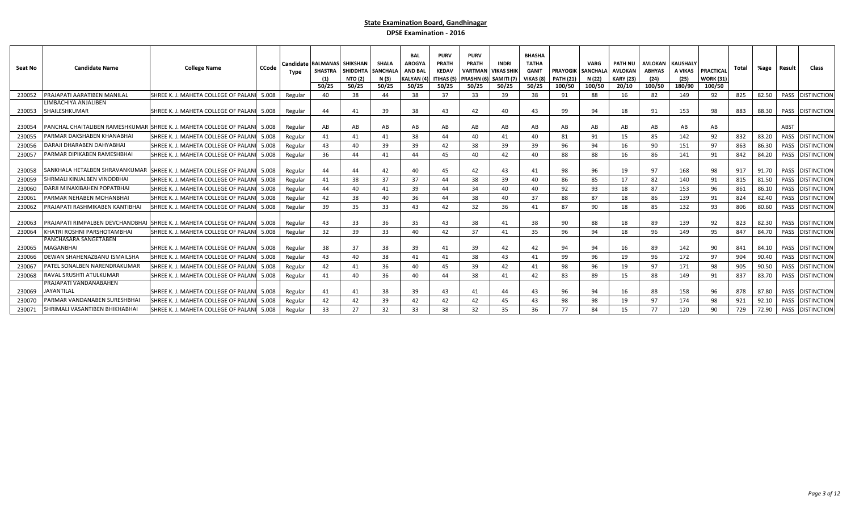| Seat No | <b>Candidate Name</b>               | <b>College Name</b>                                                         | <b>CCode</b> | Candidate<br>Type | <b>BALMANAS SHIKSHAN</b><br><b>SHASTRA</b><br>50/25 | <b>SHIDDHTA</b><br><b>NTO (2)</b><br>50/25 | <b>SHALA</b><br><b>SANCHALA</b><br>N (3)<br>50/25 | <b>BAL</b><br><b>AROGY</b><br><b>AND BAL</b><br>KALYAN (4<br>50/25 | <b>PURV</b><br><b>PRATH</b><br><b>KEDAV</b><br>ITIHAS (5<br>50/25 | <b>PURV</b><br><b>PRATH</b><br><b>VARTMAN</b><br>PRASHN (6)<br>50/25 | <b>INDRI</b><br>I VIKAS SHII<br>SAMITI <sub>(7)</sub><br>50/25 | <b>BHASHA</b><br><b>TATHA</b><br><b>GANIT</b><br>VIKAS (8)<br>50/25 | <b>PRAYOGIK</b><br><b>PATH (21)</b><br>100/50 | VARG<br><b>SANCHALA</b><br>N (22)<br>100/50 | <b>PATH NU</b><br><b>AVLOKAN</b><br><b>KARY (23)</b><br>20/10 | <b>AVLOKAN</b><br><b>ABHYAS</b><br>(24)<br>100/50 | <b>KAUSHALY</b><br>A VIKAS<br>(25)<br>180/90 | PRACTICAL<br><b>WORK (31)</b><br>100/50 | Total | %age  | Result | <b>Class</b>            |
|---------|-------------------------------------|-----------------------------------------------------------------------------|--------------|-------------------|-----------------------------------------------------|--------------------------------------------|---------------------------------------------------|--------------------------------------------------------------------|-------------------------------------------------------------------|----------------------------------------------------------------------|----------------------------------------------------------------|---------------------------------------------------------------------|-----------------------------------------------|---------------------------------------------|---------------------------------------------------------------|---------------------------------------------------|----------------------------------------------|-----------------------------------------|-------|-------|--------|-------------------------|
| 230052  | PRAJAPATI AARATIBEN MANILAL         | SHREE K. J. MAHETA COLLEGE OF PALANI                                        | 5.008        | Regular           | 40                                                  | 38                                         | 44                                                | 38                                                                 | 37                                                                | 33                                                                   | 39                                                             | 38                                                                  | 91                                            | 88                                          | 16                                                            | 82                                                | 149                                          | 92                                      | 825   | 82.50 |        | PASS DISTINCTION        |
|         | LIMBACHIYA ANJALIBEN                |                                                                             |              |                   |                                                     |                                            |                                                   |                                                                    |                                                                   |                                                                      |                                                                |                                                                     |                                               |                                             |                                                               |                                                   |                                              |                                         |       |       |        |                         |
| 230053  | SHAILESHKUMAR                       | SHREE K. J. MAHETA COLLEGE OF PALANI                                        | 5.008        | Regular           | 44                                                  | 41                                         | 39                                                | 38                                                                 | 43                                                                | 42                                                                   | 40                                                             | 43                                                                  | 99                                            | 94                                          | 18                                                            | 91                                                | 153                                          | 98                                      | 883   | 88.30 |        | <b>PASS DISTINCTION</b> |
| 230054  | PARMAR DAKSHABEN KHANABHAI          | PANCHAL CHAITALIBEN RAMESHKUMAR SHREE K. J. MAHETA COLLEGE OF PALANI        | 5.008        | Regular           | AB                                                  | AB                                         | AB                                                | AB                                                                 | AB                                                                | AB                                                                   | AB                                                             | AB                                                                  | AB                                            | AB                                          | AB                                                            | AB                                                | AB                                           | AB                                      |       |       | ABST   |                         |
| 230055  |                                     | SHREE K.J. MAHETA COLLEGE OF PALANI                                         | 5.008        | Regular           | 41                                                  | 41                                         | 41                                                | 38                                                                 | 44                                                                | 40                                                                   | 41                                                             | 40                                                                  | 81                                            | 91                                          | 15                                                            | 85                                                | 142                                          | 92                                      | 832   | 83.20 | PASS   | <b>DISTINCTION</b>      |
| 230056  | <b>DARAJI DHARABEN DAHYABHAI</b>    | SHREE K. J. MAHETA COLLEGE OF PALAN                                         | 5.008        | Regular           | 43                                                  | 40                                         | 39                                                | 39                                                                 | 42                                                                | 38                                                                   | 39                                                             | 39                                                                  | 96                                            | 94                                          | 16                                                            | 90                                                | 151                                          | 97                                      | 863   | 86.30 |        | PASS DISTINCTION        |
| 230057  | PARMAR DIPIKABEN RAMESHBHAI         | SHREE K. J. MAHETA COLLEGE OF PALANI                                        | 5.008        | Regular           | 36                                                  | 44                                         | 41                                                | 44                                                                 | 45                                                                | 40                                                                   | 42                                                             | 40                                                                  | 88                                            | 88                                          | 16                                                            | 86                                                | 141                                          | 91                                      | 842   | 84.20 |        | PASS DISTINCTION        |
| 230058  |                                     | SANKHALA HETALBEN SHRAVANKUMAR SHREE K. J. MAHETA COLLEGE OF PALANI         | 5.008        | Regular           | 44                                                  | 44                                         | 42                                                | 40                                                                 | 45                                                                | 42                                                                   | 43                                                             | 41                                                                  | 98                                            | 96                                          | 19                                                            | 97                                                | 168                                          | 98                                      | 917   | 91.70 |        | PASS DISTINCTION        |
| 230059  | SHRMALI KINJALBEN VINODBHAI         | SHREE K.J. MAHETA COLLEGE OF PALANI                                         | 5.008        | Regular           | 41                                                  | 38                                         | 37                                                | 37                                                                 | 44                                                                | 38                                                                   | 39                                                             | 40                                                                  | 86                                            | 85                                          | 17                                                            | 82                                                | 140                                          | 91                                      | 815   | 81.50 | PASS   | <b>DISTINCTION</b>      |
| 230060  | <b>DARJI MINAXIBAHEN POPATBHAI</b>  | SHREE K. J. MAHETA COLLEGE OF PALAN                                         | 5.008        | Regular           | 44                                                  | 40                                         | 41                                                | 39                                                                 | 44                                                                | 34                                                                   | 40                                                             | 40                                                                  | 92                                            | 93                                          | 18                                                            | 87                                                | 153                                          | 96                                      | 861   | 86.10 | PASS   | <b>DISTINCTION</b>      |
| 230061  | PARMAR NEHABEN MOHANBHAI            | SHREE K. J. MAHETA COLLEGE OF PALAN                                         | 5.008        | Regular           | 42                                                  | 38                                         | 40                                                | 36                                                                 | 44                                                                | 38                                                                   | 40                                                             | 37                                                                  | 88                                            | 87                                          | 18                                                            | 86                                                | 139                                          | 91                                      | 824   | 82.40 | PASS   | <b>DISTINCTION</b>      |
| 230062  | PRAJAPATI RASHMIKABEN KANTIBHAI     | SHREE K. J. MAHETA COLLEGE OF PALAN                                         | 5.008        | Regular           | 39                                                  | 35                                         | 33                                                | 43                                                                 | 42                                                                | 32                                                                   | 36                                                             | 41                                                                  | 87                                            | 90                                          | 18                                                            | 85                                                | 132                                          | 93                                      | 806   | 80.60 |        | PASS DISTINCTION        |
| 230063  |                                     | PRAJAPATI RIMPALBEN DEVCHANDBHAI SHREE K. J. MAHETA COLLEGE OF PALANI 5.008 |              | Regular           | 43                                                  | 33                                         | 36                                                | 35                                                                 | 43                                                                | 38                                                                   | 41                                                             | 38                                                                  | 90                                            | 88                                          | 18                                                            | 89                                                | 139                                          | 92                                      | 823   | 82.30 |        | PASS DISTINCTION        |
| 230064  | KHATRI ROSHNI PARSHOTAMBHAI         | SHREE K. J. MAHETA COLLEGE OF PALAN                                         | 5.008        | Regular           | 32                                                  | 39                                         | 33                                                | 40                                                                 | 42                                                                | 37                                                                   | 41                                                             | 35                                                                  | 96                                            | 94                                          | 18                                                            | 96                                                | 149                                          | 95                                      | 847   | 84.70 |        | PASS DISTINCTION        |
|         | PANCHASARA SANGETABEN               |                                                                             |              |                   |                                                     |                                            |                                                   |                                                                    |                                                                   |                                                                      |                                                                |                                                                     |                                               |                                             |                                                               |                                                   |                                              |                                         |       |       |        |                         |
| 230065  | VIAGANBHAI                          | SHREE K. J. MAHETA COLLEGE OF PALANI 5.008                                  |              | Regular           | 38                                                  | 37                                         | 38                                                | 39                                                                 | 41                                                                | 39                                                                   | 42                                                             | 42                                                                  | 94                                            | 94                                          | 16                                                            | 89                                                | 142                                          | 90                                      | 841   | 84.10 |        | PASS DISTINCTION        |
| 230066  | <b>DEWAN SHAHENAZBANU ISMAILSHA</b> | SHREE K. J. MAHETA COLLEGE OF PALANI                                        | 5.008        | Regular           | 43                                                  | 40                                         | 38                                                | 41                                                                 | 41                                                                | 38                                                                   | 43                                                             | 41                                                                  | 99                                            | 96                                          | 19                                                            | 96                                                | 172                                          | 97                                      | 904   | 90.40 | PASS   | <b>DISTINCTION</b>      |
| 230067  | <b>PATEL SONALBEN NARENDRAKUMAR</b> | SHREE K. J. MAHETA COLLEGE OF PALANI                                        | 5.008        | Regular           | 42                                                  | 41                                         | 36                                                | 40                                                                 | 45                                                                | 39                                                                   | 42                                                             | 41                                                                  | 98                                            | 96                                          | 19                                                            | 97                                                | 171                                          | 98                                      | 905   | 90.50 | PASS   | <b>DISTINCTION</b>      |
| 230068  | RAVAL SRUSHTI ATULKUMAR             | SHREE K. J. MAHETA COLLEGE OF PALAN                                         | 5.008        | Regular           | 41                                                  | 40                                         | 36                                                | 40                                                                 | 44                                                                | 38                                                                   | 41                                                             | 42                                                                  | 83                                            | 89                                          | 15                                                            | 88                                                | 149                                          | 91                                      | 837   | 83.70 | PASS   | <b>DISTINCTION</b>      |
|         | PRAJAPATI VANDANABAHEN              |                                                                             |              |                   |                                                     |                                            |                                                   |                                                                    |                                                                   |                                                                      |                                                                |                                                                     |                                               |                                             |                                                               |                                                   |                                              |                                         |       |       |        |                         |
| 230069  | <b>JAYANTILAL</b>                   | SHREE K. J. MAHETA COLLEGE OF PALANI 5.008                                  |              | Regular           | 41                                                  | 41                                         | 38                                                | 39                                                                 | 43                                                                | 41                                                                   | 44                                                             | 43                                                                  | 96                                            | 94                                          | 16                                                            | 88                                                | 158                                          | 96                                      | 878   | 87.80 |        | PASS DISTINCTION        |
| 230070  | PARMAR VANDANABEN SURESHBHAI        | SHREE K. J. MAHETA COLLEGE OF PALANI                                        | 5.008        | Regular           | 42                                                  | 42                                         | 39                                                | 42                                                                 | 42                                                                | 42                                                                   | 45                                                             | 43                                                                  | 98                                            | 98                                          | 19                                                            | 97                                                | 174                                          | 98                                      | 921   | 92.10 |        | PASS DISTINCTION        |
| 230071  | SHRIMALI VASANTIBEN BHIKHABHAI      | SHREE K. J. MAHETA COLLEGE OF PALANI                                        | 5.008        | Regular           | 33                                                  | 27                                         | 32                                                | 33                                                                 | 38                                                                | 32                                                                   | 35                                                             | 36                                                                  | 77                                            | 84                                          | 15                                                            | 77                                                | 120                                          | 90                                      | 729   | 72.90 |        | PASS DISTINCTION        |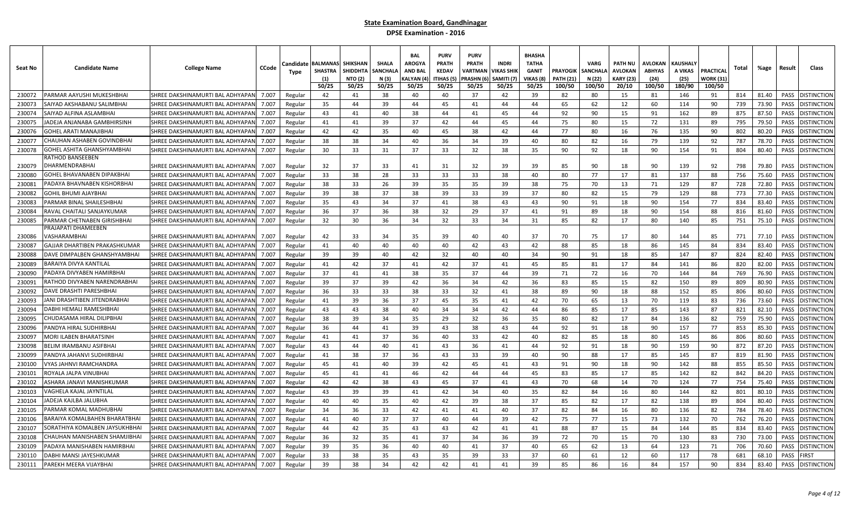| Seat No          | <b>Candidate Name</b>                                       | <b>College Name</b>                                                  | <b>CCode</b>   | Candidate<br>Type  | <b>BALMANA</b><br>SHASTRA<br>(1)<br>50/25 | <b>SHIKSHAN</b><br><b>SHIDDHT/</b><br><b>NTO (2)</b><br>50/25 | <b>SHALA</b><br>SANCHAL<br>N (3)<br>50/25 | <b>BAL</b><br><b>AROGYA</b><br><b>AND BAI</b><br>KALYAN (4<br>50/25 | <b>PURV</b><br>PRATH<br><b>KEDAV</b><br>ITIHAS (5)<br>50/25 | <b>PURV</b><br><b>PRATH</b><br>VARTMAI<br>PRASHN (6<br>50/25 | <b>INDRI</b><br>/IKAS SHIK<br>SAMITI (7<br>50/25 | <b>BHASHA</b><br><b>TATHA</b><br><b>GANIT</b><br>VIKAS (8<br>50/25 | <b>PRAYOGIK</b><br><b>PATH (21</b><br>100/50 | <b>VARG</b><br>SANCHAL/<br>N (22)<br>100/50 | PATH NU<br><b>AVLOKAN</b><br><b>KARY (23)</b><br>20/10 | <b>AVLOKAN</b><br><b>ABHYAS</b><br>(24)<br>100/50 | <b>KAUSHAL\</b><br>A VIKAS<br>(25)<br>180/90 | PRACTICAI<br>WORK (31<br>100/50 | Total      | %age           | Result       | Class                                    |
|------------------|-------------------------------------------------------------|----------------------------------------------------------------------|----------------|--------------------|-------------------------------------------|---------------------------------------------------------------|-------------------------------------------|---------------------------------------------------------------------|-------------------------------------------------------------|--------------------------------------------------------------|--------------------------------------------------|--------------------------------------------------------------------|----------------------------------------------|---------------------------------------------|--------------------------------------------------------|---------------------------------------------------|----------------------------------------------|---------------------------------|------------|----------------|--------------|------------------------------------------|
| 230072           | PARMAR AAYUSHI MUKESHBHAI                                   | SHREE DAKSHINAMURTI BAL ADHYAPAN                                     | 7.007          | Regular            | 42                                        | 41                                                            | 38                                        | 40                                                                  | 40                                                          | 37                                                           | 42                                               | 39                                                                 | 82                                           | 80                                          | 15                                                     | 81                                                | 146                                          | 91                              | 814        | 81.40          | PASS         | <b>DISTINCTION</b>                       |
| 230073           | SAIYAD AKSHABANU SALIMBHAI                                  | SHREE DAKSHINAMURTI BAL ADHYAPAN                                     | 7.007          | Regular            | 35                                        | 44                                                            | 39                                        | 44                                                                  | 45                                                          | 41                                                           | 44                                               | 44                                                                 | 65                                           | 62                                          | 12                                                     | 60                                                | 114                                          | 90                              | 739        | 73.90          | PASS         | <b>DISTINCTION</b>                       |
| 230074           | SAIYAD ALFINA ASLAMBHAI                                     | SHREE DAKSHINAMURTI BAL ADHYAPAI                                     | 7.007          | Regular            | 43                                        | 41                                                            | 40                                        | 38                                                                  | 44                                                          | 41                                                           | 45                                               | 44                                                                 | 92                                           | 90                                          | 15                                                     | 91                                                | 162                                          | 89                              | 875        | 87.50          | PASS         | <b>DISTINCTION</b>                       |
| 230075           | IADEJA ANJANABA GAMBHIRSINH                                 | SHREE DAKSHINAMURTI BAL ADHYAPAN                                     | 7.007          | Regular            | 41                                        | 41                                                            | 39                                        | 37                                                                  | 42                                                          | 44                                                           | 45                                               | 44                                                                 | 75                                           | 80                                          | 15                                                     | 72                                                | 131                                          | 89                              | 795        | 79.50          | PASS         | <b>DISTINCTION</b>                       |
| 230076           | GOHEL ARATI MANAJIBHAI                                      | SHREE DAKSHINAMURTI BAL ADHYAPAI                                     | 7.007          | Regular            | 42                                        | 42                                                            | 35                                        | 40                                                                  | 45                                                          | 38                                                           | 42                                               | 44                                                                 | 77                                           | 80                                          | 16                                                     | 76                                                | 135                                          | 90                              | 802        | 80.20          | PASS         | <b>DISTINCTION</b>                       |
| 23007            | CHAUHAN ASHABEN GOVINDBHA                                   | SHREE DAKSHINAMURTI BAL ADHYAPAN                                     | 7.007          | Regular            | 38                                        | 38                                                            | 34                                        | 40                                                                  | 36                                                          | 34                                                           | 39                                               | 40                                                                 | 80                                           | 82                                          | 16                                                     | 79                                                | 139                                          | 92                              | 787        | 78.70          | PASS         | <b>DISTINCTION</b>                       |
| 230078           | SOHEL ASHITA GHANSHYAMBHAI                                  | SHREE DAKSHINAMURTI BAL ADHYAPAN                                     | 7.007          | Regular            | 30                                        | 33                                                            | 31                                        | 37                                                                  | 33                                                          | 32                                                           | 38                                               | 35                                                                 | 90                                           | 92                                          | 18                                                     | 90                                                | 154                                          | 91                              | 804        | 80.40          | PASS         | <b>DISTINCTION</b>                       |
| 230079           | RATHOD BANSEEBEN<br>DHARMENDRABHAI                          | SHREE DAKSHINAMURTI BAL ADHYAPAN                                     | 7.007          | Regular            | 32                                        | 37                                                            | 33                                        | 41                                                                  | 31                                                          | 32                                                           | 39                                               | 39                                                                 | 85                                           | 90                                          | 18                                                     | 90                                                | 139                                          | 92                              | 798        | 79.80          |              | PASS DISTINCTION                         |
| 230080           | GOHEL BHAVANABEN DIPAKBHAI                                  | SHREE DAKSHINAMURTI BAL ADHYAPAN                                     | 7.007          | Regular            | 33                                        | 38                                                            | 28                                        | 33                                                                  | 33                                                          | 33                                                           | 38                                               | 40                                                                 | 80                                           | 77                                          | 17                                                     | 81                                                | 137                                          | 88                              | 756        | 75.60          | PASS         | <b>DISTINCTION</b>                       |
| 230081           | ADAYA BHAVNABEN KISHORBHAI                                  | SHREE DAKSHINAMURTI BAL ADHYAPAN                                     | 7.007          | Regular            | 38                                        | 33                                                            | 26                                        | 39                                                                  | 35                                                          | 35                                                           | 39                                               | 38                                                                 | 75                                           | 70                                          | 13                                                     | 71                                                | 129                                          | 87                              | 728        | 72.80          | PASS         | <b>DISTINCTION</b>                       |
| 230082           | GOHIL BHUMI AJAYBHAI                                        | SHREE DAKSHINAMURTI BAL ADHYAPAI                                     | 7.007          | Regular            | 39                                        | 38                                                            | 37                                        | 38                                                                  | 39                                                          | 33                                                           | 39                                               | 37                                                                 | 80                                           | 82                                          | 15                                                     | 79                                                | 129                                          | 88                              | 773        | 77.30          | PASS         | <b>DISTINCTION</b>                       |
| 230083           | PARMAR BINAL SHAILESHBHAI                                   | SHREE DAKSHINAMURTI BAL ADHYAPAN                                     | 7.007          | Regular            | 35                                        | 43                                                            | 34                                        | 37                                                                  | 41                                                          | 38                                                           | 43                                               | 43                                                                 | 90                                           | 91                                          | 18                                                     | 90                                                | 154                                          | 77                              | 834        | 83.40          | PASS         | <b>DISTINCTION</b>                       |
| 230084           | RAVAL CHAITALI SANJAYKUMAR                                  | SHREE DAKSHINAMURTI BAL ADHYAPAN                                     | 7.007          | Regular            | 36                                        | 37                                                            | 36                                        | 38                                                                  | 32                                                          | 29                                                           | 37                                               | 41                                                                 | 91                                           | 89                                          | 18                                                     | 90                                                | 154                                          | 88                              | 816        | 81.60          | PASS         | <b>DISTINCTION</b>                       |
| 230085           | PARMAR CHETNABEN GIRISHBHAI                                 | SHREE DAKSHINAMURTI BAL ADHYAPAN                                     | 7.007          | Regular            | 32                                        | 30                                                            | 36                                        | 34                                                                  | 32                                                          | 33                                                           | 34                                               | 31                                                                 | 85                                           | 82                                          | 17                                                     | 80                                                | 140                                          | 85                              | 751        | 75.10          | PASS         | <b>DISTINCTION</b>                       |
| 230086           | <b>RAJAPATI DHAMEEBEN</b><br>VASHARAMBHAI                   | SHREE DAKSHINAMURTI BAL ADHYAPAN                                     | 7.007          | Regular            | 42                                        | 33                                                            | 34                                        | 35                                                                  | 39                                                          | 40                                                           | 40                                               | 37                                                                 | 70                                           | 75                                          | 17                                                     | 80                                                | 144                                          | 85                              | 771        | 77.10          | PASS         | <b>DISTINCTION</b>                       |
| 230087           | GAJJAR DHARTIBEN PRAKASHKUMAR                               | SHREE DAKSHINAMURTI BAL ADHYAPAN                                     | 7.007          | Regular            | 41                                        | 40                                                            | 40                                        | 40                                                                  | 40                                                          | 42                                                           | 43                                               | 42                                                                 | 88                                           | 85                                          | 18                                                     | 86                                                | 145                                          | 84                              | 834        | 83.40          | PASS         | <b>DISTINCTION</b>                       |
| 230088           | DAVE DIMPALBEN GHANSHYAMBHAI                                | SHREE DAKSHINAMURTI BAL ADHYAPAN                                     | 7.007          | Regular            | 39                                        | 39                                                            | 40                                        | 42                                                                  | 32                                                          | 40                                                           | 40                                               | 34                                                                 | 90                                           | 91                                          | 18                                                     | 85                                                | 147                                          | 87                              | 824        | 82.40          | PASS         | <b>DISTINCTION</b>                       |
| 230089           | BARAIYA DIVYA KANTILAI                                      | SHREE DAKSHINAMURTI BAL ADHYAPAN                                     | 7.007          | Regular            | 41                                        | 42                                                            | 37                                        | 41                                                                  | 42                                                          | 37                                                           | 41                                               | 45                                                                 | 85                                           | 81                                          | 17                                                     | 84                                                | 141                                          | 86                              | 820        | 82.00          | PASS         | <b>DISTINCTION</b>                       |
| 230090           | PADAYA DIVYABEN HAMIRBHAI                                   | SHREE DAKSHINAMURTI BAL ADHYAPAI                                     | 7.007          | Regular            | 37                                        | 41                                                            | 41                                        | 38                                                                  | 35                                                          | 37                                                           | 44                                               | 39                                                                 | 71                                           | 72                                          | 16                                                     | 70                                                | 144                                          | 84                              | 769        | 76.90          | PASS         | <b>DISTINCTION</b>                       |
| 230091           | ATHOD DIVYABEN NARENDRABHA                                  | SHREE DAKSHINAMURTI BAL ADHYAPAI                                     | 7.007          | Regular            | 39                                        | 37                                                            | 39                                        | 42                                                                  | 36                                                          | 34                                                           | 42                                               | 36                                                                 | 83                                           | 85                                          | 15                                                     | 82                                                | 150                                          | 89                              | 809        | 80.90          | PASS         | <b>DISTINCTION</b>                       |
| 230092           | DAVE DRASHTI PARESHBHAI                                     | SHREE DAKSHINAMURTI BAL ADHYAPAN                                     | 7.007          | Regular            | 36                                        | 33                                                            | 33                                        | 38                                                                  | 33                                                          | 32                                                           | 41                                               | 38                                                                 | 89                                           | 90                                          | 18                                                     | 88                                                | 152                                          | 85                              | 806        | 80.60          | PASS         | <b>DISTINCTION</b>                       |
| 230093           | ANI DRASHTIBEN JITENDRABHAI                                 | SHREE DAKSHINAMURTI BAL ADHYAPAN                                     | 7.007          | Regular            | 41                                        | 39                                                            | 36                                        | 37                                                                  | 45                                                          | 35                                                           | 41                                               | 42                                                                 | 70                                           | 65                                          | 13                                                     | 70                                                | 119                                          | 83                              | 736        | 73.60          | PASS         | <b>DISTINCTION</b>                       |
| 230094           | DABHI HEMALI RAMESHBHAI                                     | SHREE DAKSHINAMURTI BAL ADHYAPAI                                     | 7.007          | Regular            | 43                                        | 43                                                            | 38                                        | 40                                                                  | 34                                                          | 34                                                           | 42                                               | 44                                                                 | 86                                           | 85                                          | 17                                                     | 85                                                | 143                                          | 87                              | 821        | 82.10          | PASS         | <b>DISTINCTION</b>                       |
| 230095           | CHUDASAMA HIRAL DILIPBHA                                    | SHREE DAKSHINAMURTI BAL ADHYAPAI                                     | 7.007          | Regular            | 38                                        | 39                                                            | 34                                        | 35                                                                  | 29                                                          | 32                                                           | 36                                               | 35                                                                 | 80                                           | 82                                          | 17                                                     | 84                                                | 136                                          | 82                              | 759        | 75.90          | PASS         | <b>DISTINCTION</b>                       |
| 230096           | PANDYA HIRAL SUDHIRBHAI                                     | SHREE DAKSHINAMURTI BAL ADHYAPAI                                     | 7.007          | Regular            | 36                                        | 44                                                            | 41                                        | 39                                                                  | 43                                                          | 38                                                           | 43                                               | 44                                                                 | 92                                           | 91                                          | 18                                                     | 90                                                | 157                                          | 77                              | 853        | 85.30          | PASS         | <b>DISTINCTION</b>                       |
| 230097           | MORI ILABEN BHARATSINH                                      | SHREE DAKSHINAMURTI BAL ADHYAPAN                                     | 7.007          | Regular            | 41                                        | 41                                                            | 37                                        | 36                                                                  | 40                                                          | 33                                                           | 42                                               | 40                                                                 | 82                                           | 85                                          | 18                                                     | 80                                                | 145                                          | 86                              | 806        | 80.60          | PASS         | <b>DISTINCTION</b>                       |
| 230098           | BELIM IRAMBANU ASIFBHAI                                     | SHREE DAKSHINAMURTI BAL ADHYAPAI                                     | 7.007          | Regular            | 43                                        | 44                                                            | 40                                        | 41                                                                  | 43                                                          | 36                                                           | 41                                               | 44                                                                 | 92                                           | 91                                          | 18                                                     | 90                                                | 159                                          | 90                              | 872        | 87.20          | PASS         | <b>DISTINCTION</b>                       |
| 230099           | PANDYA JAHANVI SUDHIRBHAI                                   | SHREE DAKSHINAMURTI BAL ADHYAPAI                                     | 7.007          | Regular            | 41                                        | 38                                                            | 37                                        | 36                                                                  | 43                                                          | 33                                                           | 39                                               | 40                                                                 | 90                                           | 88                                          | 17                                                     | 85                                                | 145                                          | 87                              | 819        | 81.90          | PASS         | <b>DISTINCTION</b>                       |
| 230100           | YAS JAHNVI RAMCHANDRA                                       | SHREE DAKSHINAMURTI BAL ADHYAPAN                                     | 7.007          | Regular            | 45                                        | 41                                                            | 40                                        | 39                                                                  | 42                                                          | 45                                                           | 41                                               | 43                                                                 | 91                                           | 90                                          | 18                                                     | 90                                                | 142                                          | 88                              | 855        | 85.50          | PASS         | <b>DISTINCTION</b>                       |
| 230101           | OYALA JALPA VINUBHAI                                        | SHREE DAKSHINAMURTI BAL ADHYAPAI                                     | 7.007          | Regular            | 45                                        | 41                                                            | 41                                        | 46                                                                  | 42                                                          | 44                                                           | 44                                               | 45                                                                 | 83                                           | 85                                          | 17                                                     | 85                                                | 142                                          | 82                              | 842        | 84.20          | PASS         | <b>DISTINCTION</b>                       |
| 230102           | \SHARA JANAVI MANISHKUMAR                                   | SHREE DAKSHINAMURTI BAL ADHYAPAN                                     | 7.007          | Regular            | 42                                        | 42                                                            | 38                                        | 43                                                                  | 45                                                          | 37                                                           | 41                                               | 43                                                                 | 70                                           | 68                                          | 14                                                     | 70                                                | 124                                          | 77                              | 754        | 75.40          | PASS         | <b>DISTINCTION</b>                       |
| 230103           | 'AGHELA KAJAL JAYNTILAL                                     | SHREE DAKSHINAMURTI BAL ADHYAPAI                                     | 7.007          | Regular            | 43                                        | 39                                                            | 39                                        | 41                                                                  | 42                                                          | 34                                                           | 40                                               | 35                                                                 | 82                                           | 84                                          | 16                                                     | 80                                                | 144                                          | 82                              | 801        | 80.10          | PASS         | <b>DISTINCTION</b>                       |
| 230104           | ADEJA KAJLBA JALUBHA                                        | SHREE DAKSHINAMURTI BAL ADHYAPAI                                     | 7.007          | Regular            | 40                                        | 40                                                            | 35                                        | 40                                                                  | 42                                                          | 39                                                           | 38                                               | 37                                                                 | 85                                           | 82                                          | 17                                                     | 82                                                | 138                                          | 89                              | 804        | 80.40          | PASS         | <b>DISTINCTION</b>                       |
| 230105           | ARMAR KOMAL MADHUBHAI                                       | SHREE DAKSHINAMURTI BAL ADHYAPAN                                     | 7.007          | Regular            | 34                                        | 36                                                            | 33                                        | 42                                                                  | 41                                                          | 41                                                           | 40                                               | 37                                                                 | 82                                           | 84                                          | 16                                                     | 80                                                | 136                                          | 82                              | 784        | 78.40          | PASS         | <b>DISTINCTION</b>                       |
| 230106           | BARAIYA KOMALBAHEN BHARATBHAI                               | SHREE DAKSHINAMURTI BAL ADHYAPAI                                     | 7.007          | Regular            | 41                                        | 40                                                            | 37                                        | 37                                                                  | 40                                                          | 44                                                           | 39                                               | 42                                                                 | 75                                           | 77                                          | 15                                                     | 73                                                | 132                                          | 70                              | 762        | 76.20          | PASS         | <b>DISTINCTION</b>                       |
| 230107           | SORATHIYA KOMALBEN JAYSUKHBHAI                              | SHREE DAKSHINAMURTI BAL ADHYAPAN                                     | 7.007          | Regular            | 44                                        | 42                                                            | 35                                        | 43                                                                  | 43                                                          | 42                                                           | 41                                               | 41                                                                 | 88                                           | 87                                          | 15                                                     | 84                                                | 144                                          | 85                              | 834        | 83.40          | PASS         | <b>DISTINCTION</b>                       |
| 230108<br>230109 | CHAUHAN MANISHABEN SHAMJIBHAI<br>PADAYA MANISHABEN HAMIRBHA | SHREE DAKSHINAMURTI BAL ADHYAPAI<br>SHREE DAKSHINAMURTI BAL ADHYAPAI | 7.007<br>7.007 | Regular            | 36<br>39                                  | 32<br>35                                                      | 35<br>36                                  | 41<br>40                                                            | 37<br>40                                                    | 34<br>41                                                     | 36<br>37                                         | 39<br>40                                                           | 72<br>65                                     | 70<br>62                                    | 15<br>13                                               | 70<br>64                                          | 130<br>123                                   | 83<br>71                        | 730<br>706 | 73.00<br>70.60 | PASS<br>PASS | <b>DISTINCTION</b><br><b>DISTINCTION</b> |
| 230110           | DABHI MANSI JAYESHKUMAR                                     | SHREE DAKSHINAMURTI BAL ADHYAPAN                                     | 7.007          | Regular<br>Regular | 33                                        | 38                                                            | 35                                        | 43                                                                  | 35                                                          | 39                                                           | 33                                               | 37                                                                 | 60                                           | 61                                          | 12                                                     | 60                                                | 117                                          | 78                              | 681        | 68.10          | PASS         | <b>IRST</b>                              |
| 230111           | PAREKH MEERA VIJAYBHAI                                      | SHREE DAKSHINAMURTI BAL ADHYAPAN                                     | 7.007          | Regular            | 39                                        | 38                                                            | 34                                        | 42                                                                  | 42                                                          | 41                                                           | 41                                               | 39                                                                 | 85                                           | 86                                          | 16                                                     | 84                                                | 157                                          | 90                              | 834        | 83.40          |              | PASS DISTINCTION                         |
|                  |                                                             |                                                                      |                |                    |                                           |                                                               |                                           |                                                                     |                                                             |                                                              |                                                  |                                                                    |                                              |                                             |                                                        |                                                   |                                              |                                 |            |                |              |                                          |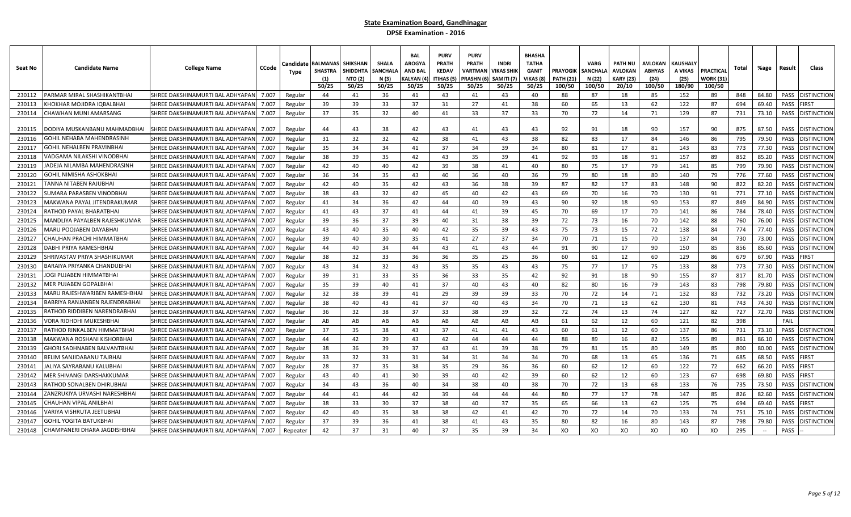| Seat No | <b>Candidate Name</b>          | <b>College Name</b>              | CCode | Candidate<br>Type | <b>BALMANAS</b><br><b>SHASTRA</b><br>(1)<br>50/25 | <b>SHIKSHAN</b><br><b>SHIDDHTA</b><br><b>NTO (2)</b><br>50/25 | <b>SHALA</b><br>SANCHAL<br>N (3)<br>50/25 | <b>BAL</b><br><b>AROGYA</b><br><b>AND BAL</b><br>(ALYAN (<br>50/25 | <b>PURV</b><br><b>PRATH</b><br><b>KEDAV</b><br>ITIHAS (5<br>50/25 | <b>PURV</b><br><b>PRATH</b><br>VARTMAN<br><b>PRASHN (</b><br>50/25 | <b>INDRI</b><br><b>JIKAS SHIK</b><br>SAMITI (7)<br>50/25 | <b>BHASHA</b><br>TATHA<br><b>GANIT</b><br>VIKAS (8<br>50/25 | <b>PRAYOGIK</b><br><b>PATH (21)</b><br>100/50 | <b>VARG</b><br><b>SANCHALA</b><br>N (22)<br>100/50 | PATH NU<br>AVLOKAN<br><b>KARY (23)</b><br>20/10 | AVLOKAN<br><b>ABHYAS</b><br>(24)<br>100/50 | <b>KAUSHALY</b><br>A VIKAS<br>(25)<br>180/90 | PRACTICAL<br>WORK (31)<br>100/50 | Total | %age   | Result | Class              |
|---------|--------------------------------|----------------------------------|-------|-------------------|---------------------------------------------------|---------------------------------------------------------------|-------------------------------------------|--------------------------------------------------------------------|-------------------------------------------------------------------|--------------------------------------------------------------------|----------------------------------------------------------|-------------------------------------------------------------|-----------------------------------------------|----------------------------------------------------|-------------------------------------------------|--------------------------------------------|----------------------------------------------|----------------------------------|-------|--------|--------|--------------------|
| 230112  | ARMAR MIRAL SHASHIKANTBHAI     | SHREE DAKSHINAMURTI BAL ADHYAPAN | 7.007 | Regular           | 44                                                | 41                                                            | 36                                        | 41                                                                 | 43                                                                | 41                                                                 | 43                                                       | 40                                                          | 88                                            | 87                                                 | 18                                              | 85                                         | 152                                          | 89                               | 848   | 84.80  | PASS   | <b>DISTINCTION</b> |
| 230113  | HOKHAR MOJIDRA IQBALBHAI       | SHREE DAKSHINAMURTI BAL ADHYAPAI | 7.007 | Regular           | 39                                                | 39                                                            | 33                                        | 37                                                                 | 31                                                                | 27                                                                 | 41                                                       | 38                                                          | 60                                            | 65                                                 | 13                                              | 62                                         | 122                                          | 87                               | 694   | 69.40  | PASS   | <b>IRST</b>        |
| 230114  | HAWHAN MUNI AMARSANG:          | SHREE DAKSHINAMURTI BAL ADHYAPAN | 7.007 | Regular           | 37                                                | 35                                                            | 32                                        | 40                                                                 | 41                                                                | 33                                                                 | 37                                                       | 33                                                          | 70                                            | 72                                                 | 14                                              | 71                                         | 129                                          | 87                               | 731   | 73.10  | PASS   | <b>ISTINCTION</b>  |
|         |                                |                                  |       |                   |                                                   |                                                               |                                           |                                                                    |                                                                   |                                                                    |                                                          |                                                             |                                               |                                                    |                                                 |                                            |                                              |                                  |       |        |        |                    |
| 230115  | DODIYA MUSKANBANU MAHMADBHAI   | SHREE DAKSHINAMURTI BAL ADHYAPAN | 7.007 | Regular           | 44                                                | 43                                                            | 38                                        | 42                                                                 | 43                                                                | 41                                                                 | 43                                                       | 43                                                          | 92                                            | 91                                                 | 18                                              | 90                                         | 157                                          | 90                               | 875   | 87.50  | PASS   | <b>ISTINCTION</b>  |
| 230116  | GOHIL NEHABA MAHENDRASINF      | SHREE DAKSHINAMURTI BAL ADHYAPAN | 7.007 | Regular           | 31                                                | 32                                                            | 32                                        | 42                                                                 | 38                                                                | 41                                                                 | 43                                                       | 38                                                          | 82                                            | 83                                                 | 17                                              | 84                                         | 146                                          | 86                               | 795   | 79.50  | PASS   | <b>ISTINCTION</b>  |
| 230117  | GOHIL NEHALBEN PRAVINBHAI      | SHREE DAKSHINAMURTI BAL ADHYAPAN | 7.007 | Regular           | 35                                                | 34                                                            | 34                                        | 41                                                                 | 37                                                                | 34                                                                 | 39                                                       | 34                                                          | 80                                            | 81                                                 | 17                                              | 81                                         | 143                                          | 83                               | 773   | 77.30  | PASS   | <b>ISTINCTION</b>  |
| 230118  | 'ADGAMA NILAKSHI VINODBHAI     | SHREE DAKSHINAMURTI BAL ADHYAPAN | 7.007 | Regular           | 38                                                | 39                                                            | 35                                        | 42                                                                 | 43                                                                | 35                                                                 | 39                                                       | 41                                                          | 92                                            | 93                                                 | 18                                              | 91                                         | 157                                          | 89                               | 852   | 85.20  | PASS   | <b>ISTINCTION</b>  |
| 230119  | ADEJA NILAMBA MAHENDRASINH     | SHREE DAKSHINAMURTI BAL ADHYAPAN | 7.007 | Regular           | 42                                                | 40                                                            | 40                                        | 42                                                                 | 39                                                                | 38                                                                 | 41                                                       | 40                                                          | 80                                            | 75                                                 | 17                                              | 79                                         | 141                                          | 85                               | 799   | 79.90  | PASS   | <b>ISTINCTION</b>  |
| 230120  | GOHIL NIMISHA ASHOKBHAI        | SHREE DAKSHINAMURTI BAL ADHYAPAN | 7.007 | Regular           | 36                                                | 34                                                            | 35                                        | 43                                                                 | 40                                                                | 36                                                                 | 40                                                       | 36                                                          | 79                                            | 80                                                 | 18                                              | 80                                         | 140                                          | 79                               | 776   | 77.60  | PASS   | <b>ISTINCTION</b>  |
| 230121  | ANNA NITABEN RAJUBHAI          | SHREE DAKSHINAMURTI BAL ADHYAPAN | 7.007 | Regular           | 42                                                | 40                                                            | 35                                        | 42                                                                 | 43                                                                | 36                                                                 | 38                                                       | 39                                                          | 87                                            | 82                                                 | 17                                              | 83                                         | 148                                          | 90                               | 822   | 82.20  | PASS   | <b>ISTINCTION</b>  |
| 230122  | UMARA PARASBEN VINODBHAI       | SHREE DAKSHINAMURTI BAL ADHYAPAN | 7.007 | Regular           | 38                                                | 43                                                            | 32                                        | 42                                                                 | 45                                                                | 40                                                                 | 42                                                       | 43                                                          | 69                                            | 70                                                 | 16                                              | 70                                         | 130                                          | 91                               | 771   | 77.10  | PASS   | <b>DISTINCTION</b> |
| 230123  | MAKWANA PAYAL JITENDRAKUMAR    | SHREE DAKSHINAMURTI BAL ADHYAPAN | 7.007 | Regular           | 41                                                | 34                                                            | 36                                        | 42                                                                 | 44                                                                | 40                                                                 | 39                                                       | 43                                                          | 90                                            | 92                                                 | 18                                              | 90                                         | 153                                          | 87                               | 849   | 84.90  | PASS   | <b>ISTINCTION</b>  |
| 230124  | RATHOD PAYAL BHARATBHAI        | SHREE DAKSHINAMURTI BAL ADHYAPAN | 7.007 | Regular           | 41                                                | 43                                                            | 37                                        | 41                                                                 | 44                                                                | 41                                                                 | 39                                                       | 45                                                          | 70                                            | 69                                                 | 17                                              | 70                                         | 141                                          | 86                               | 784   | 78.40  | PASS   | <b>ISTINCTION</b>  |
| 230125  | MANDLIYA PAYALBEN RAJESHKUMAR  | SHREE DAKSHINAMURTI BAL ADHYAPAN | 7.007 | Regular           | 39                                                | 36                                                            | 37                                        | 39                                                                 | 40                                                                | 31                                                                 | 38                                                       | 39                                                          | 72                                            | 73                                                 | 16                                              | 70                                         | 142                                          | 88                               | 760   | 76.00  | PASS   | <b>ISTINCTION</b>  |
| 230126  | <b>MARU POOJABEN DAYABHA</b>   | SHREE DAKSHINAMURTI BAL ADHYAPAN | 7.007 | Regular           | 43                                                | 40                                                            | 35                                        | 40                                                                 | 42                                                                | 35                                                                 | 39                                                       | 43                                                          | 75                                            | 73                                                 | 15                                              | 72                                         | 138                                          | 84                               | 774   | 77.40  | PASS   | <b>DISTINCTION</b> |
| 230127  | CHAUHAN PRACHI HIMMATBHAI      | SHREE DAKSHINAMURTI BAL ADHYAPAN | 7.007 | Regular           | 39                                                | 40                                                            | 30                                        | 35                                                                 | 41                                                                | 27                                                                 | 37                                                       | 34                                                          | 70                                            | 71                                                 | 15                                              | 70                                         | 137                                          | 84                               | 730   | 73.00  | PASS   | <b>ISTINCTION</b>  |
| 230128  | DABHI PRIYA RAMESHBHAI         | SHREE DAKSHINAMURTI BAL ADHYAPAN | 7.007 | Regular           | 44                                                | 40                                                            | 34                                        | 44                                                                 | 43                                                                | 41                                                                 | 43                                                       | 44                                                          | 91                                            | 90                                                 | 17                                              | 90                                         | 150                                          | 85                               | 856   | 85.60  | PASS   | <b>DISTINCTION</b> |
| 230129  | IHRIVASTAV PRIYA SHASHIKUMAF   | SHREE DAKSHINAMURTI BAL ADHYAPAN | 7.007 | Regular           | 38                                                | 32                                                            | 33                                        | 36                                                                 | 36                                                                | 35                                                                 | 25                                                       | 36                                                          | 60                                            | 61                                                 | 12                                              | 60                                         | 129                                          | 86                               | 679   | 67.90  | PASS   | <b>IRST</b>        |
| 230130  | BARAIYA PRIYANKA CHANDUBHAI    | SHREE DAKSHINAMURTI BAL ADHYAPAN | 7.007 | Regular           | 43                                                | 34                                                            | 32                                        | 43                                                                 | 35                                                                | 35                                                                 | 43                                                       | 43                                                          | 75                                            | 77                                                 | 17                                              | 75                                         | 133                                          | 88                               | 773   | 77.30  | PASS   | <b>ISTINCTION</b>  |
| 230131  | OGI PUJABEN HIMMATBHAI         | SHREE DAKSHINAMURTI BAL ADHYAPAN | 7.007 | Regular           | 39                                                | 31                                                            | 33                                        | 35                                                                 | 36                                                                | 33                                                                 | 35                                                       | 42                                                          | 92                                            | 91                                                 | 18                                              | 90                                         | 155                                          | 87                               | 817   | 81.70  | PASS   | <b>ISTINCTION</b>  |
| 230132  | MER PUJABEN GOPALBHAI          | SHREE DAKSHINAMURTI BAL ADHYAPAN | 7.007 | Regular           | 35                                                | 39                                                            | 40                                        | 41                                                                 | 37                                                                | 40                                                                 | 43                                                       | 40                                                          | 82                                            | 80                                                 | 16                                              | 79                                         | 143                                          | 83                               | 798   | 79.80  | PASS   | <b>ISTINCTION</b>  |
| 230133  | MARU RAJESHWARIBEN RAMESHBHAI  | SHREE DAKSHINAMURTI BAL ADHYAPAN | 7.007 | Regular           | 32                                                | 38                                                            | 39                                        | 41                                                                 | 29                                                                | 39                                                                 | 39                                                       | 33                                                          | 70                                            | 72                                                 | 14                                              | 71                                         | 132                                          | 83                               | 732   | 73.20  | PASS   | <b>ISTINCTION</b>  |
| 230134  | BABRIYA RANJANBEN RAJENDRABHAI | SHREE DAKSHINAMURTI BAL ADHYAPAN | 7.007 | Regular           | 38                                                | 40                                                            | 43                                        | 41                                                                 | 37                                                                | 40                                                                 | 43                                                       | 34                                                          | 70                                            | 71                                                 | 13                                              | 62                                         | 130                                          | 81                               | 743   | 74.30  | PASS   | <b>ISTINCTION</b>  |
| 230135  | RATHOD RIDDIBEN NARENDRABHAI   | SHREE DAKSHINAMURTI BAL ADHYAPAN | 7.007 | Regular           | 36                                                | 32                                                            | 38                                        | 37                                                                 | 33                                                                | 38                                                                 | 39                                                       | 32                                                          | 72                                            | 74                                                 | 13                                              | 74                                         | 127                                          | 82                               | 727   | 72.70  | PASS   | DISTINCTION        |
| 230136  | 'ORA RIDHDHI MUKESHBHAI        | SHREE DAKSHINAMURTI BAL ADHYAPAN | 7.007 | Regular           | AB                                                | AB                                                            | AB                                        | AB                                                                 | AB                                                                | AB                                                                 | AB                                                       | AB                                                          | 61                                            | 62                                                 | 12                                              | 60                                         | 121                                          | 82                               | 398   |        | FAIL   |                    |
| 230137  | RATHOD RINKALBEN HIMMATBHAI    | SHREE DAKSHINAMURTI BAL ADHYAPAN | 7.007 | Regular           | 37                                                | 35                                                            | 38                                        | 43                                                                 | 37                                                                | 41                                                                 | 41                                                       | 43                                                          | 60                                            | 61                                                 | 12                                              | 60                                         | 137                                          | 86                               | 731   | 73.10  | PASS   | <b>DISTINCTION</b> |
| 230138  | MAKWANA ROSHANI KISHORBHA      | SHREE DAKSHINAMURTI BAL ADHYAPAN | 7.007 | Regular           | 44                                                | 42                                                            | 39                                        | 43                                                                 | 42                                                                | 44                                                                 | 44                                                       | 44                                                          | 88                                            | 89                                                 | 16                                              | 82                                         | 155                                          | 89                               | 861   | 86.10  | PASS   | <b>ISTINCTION</b>  |
| 230139  | GHORI SADHNABEN BALVANTBHAI    | SHREE DAKSHINAMURTI BAL ADHYAPAN | 7.007 | Regular           | 38                                                | 36                                                            | 39                                        | 37                                                                 | 43                                                                | 41                                                                 | 39                                                       | 38                                                          | 79                                            | 81                                                 | 15                                              | 80                                         | 149                                          | 85                               | 800   | 80.00  | PASS   | <b>DISTINCTION</b> |
| 230140  | BELIM SANJIDABANU TAJBHAI      | SHREE DAKSHINAMURTI BAL ADHYAPAN | 7.007 | Regular           | 33                                                | 32                                                            | 33                                        | 31                                                                 | 34                                                                | 31                                                                 | 34                                                       | 34                                                          | 70                                            | 68                                                 | 13                                              | 65                                         | 136                                          | 71                               | 685   | 68.50  | PASS   | <b>IRST</b>        |
| 230141  | ALIYA SAYRABANU KALUBHAI       | SHREE DAKSHINAMURTI BAL ADHYAPAN | 7.007 | Regular           | 28                                                | 37                                                            | 35                                        | 38                                                                 | 35                                                                | 29                                                                 | 36                                                       | 36                                                          | 60                                            | 62                                                 | 12                                              | 60                                         | 122                                          | 72                               | 662   | 66.20  | PASS   | FIRST              |
| 230142  | ⁄IER SHIVANGI DARSHAKKUMAR     | SHREE DAKSHINAMURTI BAL ADHYAPAN | 7.007 | Regular           | 43                                                | 40                                                            | 41                                        | 30                                                                 | 39                                                                | 40                                                                 | 42                                                       | 39                                                          | 60                                            | 62                                                 | 12                                              | 60                                         | 123                                          | 67                               | 698   | 69.80  | PASS   | <b>IRST</b>        |
| 230143  | RATHOD SONALBEN DHIRUBHAI      | SHREE DAKSHINAMURTI BAL ADHYAPAN | 7.007 | Regular           | 34                                                | 43                                                            | 36                                        | 40                                                                 | 34                                                                | 38                                                                 | 40                                                       | 38                                                          | 70                                            | 72                                                 | 13                                              | 68                                         | 133                                          | 76                               | 735   | 73.50  | PASS   | <b>DISTINCTION</b> |
| 230144  | 'ANZRUKIYA URVASHI NARESHBHAI  | SHREE DAKSHINAMURTI BAL ADHYAPAN | 7.007 | Regular           | 44                                                | 41                                                            | 44                                        | 42                                                                 | 39                                                                | 44                                                                 | 44                                                       | 44                                                          | 80                                            | 77                                                 | 17                                              | 78                                         | 147                                          | 85                               | 826   | 82.60  | PASS   | DISTINCTION        |
| 230145  | CHAUHAN VIPAL ANILBHAI         | SHREE DAKSHINAMURTI BAL ADHYAPAN | 7.007 | Regular           | 38                                                | 33                                                            | 30                                        | 37                                                                 | 38                                                                | 40                                                                 | 37                                                       | 35                                                          | 65                                            | 66                                                 | 13                                              | 62                                         | 125                                          | 75                               | 694   | 69.40  | PASS   | <b>IRST</b>        |
| 230146  | 'ARIYA VISHRUTA JEETUBHAI      | SHREE DAKSHINAMURTI BAL ADHYAPAN | 7.007 | Regular           | 42                                                | 40                                                            | 35                                        | 38                                                                 | 38                                                                | 42                                                                 | 41                                                       | 42                                                          | 70                                            | 72                                                 | 14                                              | 70                                         | 133                                          | 74                               | 751   | 75.10  | PASS   | <b>DISTINCTION</b> |
| 230147  | GOHIL YOGITA BATUKBHAI         | SHREE DAKSHINAMURTI BAL ADHYAPAN | 7.007 | Regular           | 37                                                | 39                                                            | 36                                        | 41                                                                 | 38                                                                | 41                                                                 | 43                                                       | 35                                                          | 80                                            | 82                                                 | 16                                              | 80                                         | 143                                          | 87                               | 798   | 79.80  | PASS   | <b>ISTINCTION</b>  |
| 230148  | CHAMPANERI DHARA JAGDISHBHAI   | SHREE DAKSHINAMURTI BAL ADHYAPAN | 7.007 | Repeater          | 42                                                | 37                                                            | 31                                        | 40                                                                 | 37                                                                | 35                                                                 | 39                                                       | 34                                                          | XO                                            | XO                                                 | XO                                              | XO                                         | XO                                           | XO                               | 295   | $\sim$ | PASS   |                    |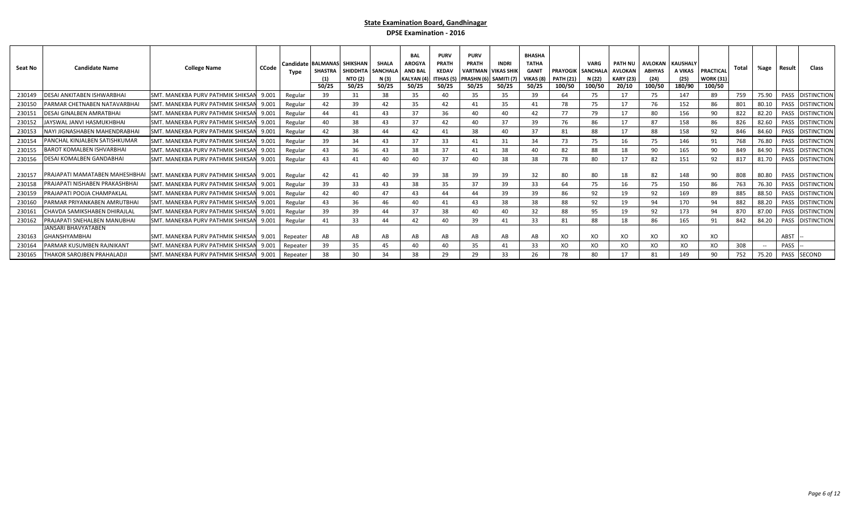| Seat No | <b>Candidate Name</b>                              | <b>College Name</b>                            | CCode | Type     | Candidate BALMANAS SHIKSHAN<br><b>SHASTRA</b><br>(1)<br>50/25 | <b>SHIDDHTA</b><br><b>NTO (2)</b><br>50/25 | <b>SHALA</b><br><b>SANCHALA</b><br>N (3)<br>50/25 | <b>BAL</b><br>AROGY/<br><b>AND BAI</b><br><b>KALYAN</b> (4)<br>50/25 | <b>PURV</b><br>PRATH<br><b>KEDAV</b><br><b>ITIHAS (5)</b><br>50/25 | <b>PURV</b><br><b>PRATH</b><br><b>VARTMAN VIKAS SHII</b><br>PRASHN (6) SAMITI (7)<br>50/25 | <b>INDRI</b><br>50/25 | <b>BHASHA</b><br><b>TATHA</b><br><b>GANIT</b><br>VIKAS (8<br>50/25 | <b>PRAYOGIK SANCHALA</b><br><b>PATH (21)</b><br>100/50 | <b>VARG</b><br>N (22)<br>100/50 | <b>PATH NU</b><br><b>AVLOKAN</b><br><b>KARY (23)</b><br>20/10 | <b>AVLOKAN   KAUSHALY</b><br><b>ABHYAS</b><br>(24)<br>100/50 | A VIKAS<br>(25)<br>180/90 | <b>PRACTICAL</b><br><b>WORK (31)</b><br>100/50 | Total | %age   | Result | Class              |
|---------|----------------------------------------------------|------------------------------------------------|-------|----------|---------------------------------------------------------------|--------------------------------------------|---------------------------------------------------|----------------------------------------------------------------------|--------------------------------------------------------------------|--------------------------------------------------------------------------------------------|-----------------------|--------------------------------------------------------------------|--------------------------------------------------------|---------------------------------|---------------------------------------------------------------|--------------------------------------------------------------|---------------------------|------------------------------------------------|-------|--------|--------|--------------------|
| 230149  | DESAI ANKITABEN ISHWARBHAI                         | <b>SMT. MANEKBA PURV PATHMIK SHIKSAN</b>       | 9.001 | Regular  | 39                                                            | 31                                         | 38                                                | 35                                                                   | 40                                                                 | 35                                                                                         | 35                    | 39                                                                 | 64                                                     | 75                              |                                                               | 75                                                           | 147                       | 89                                             | 759   | 75.90  |        | PASS DISTINCTION   |
| 230150  | PARMAR CHETNABEN NATAVARBHAI                       | SMT. MANEKBA PURV PATHMIK SHIKSAN              | 9.001 | Regular  | 42                                                            | 39                                         | 42                                                | 35                                                                   | 42                                                                 | 41                                                                                         | 35                    | 41                                                                 | 78                                                     | 75                              |                                                               | 76                                                           | 152                       | 86                                             | 801   | 80.10  | PASS   | <b>DISTINCTION</b> |
| 230151  | DESAI GINALBEN AMRATBHAI                           | <b>SMT. MANEKBA PURV PATHMIK SHIKSAN</b>       | 9.001 | Regular  | 44                                                            | 41                                         | 43                                                | 37                                                                   | 36                                                                 | 40                                                                                         | 40                    | 42                                                                 | 77                                                     | 79                              |                                                               | 80                                                           | 156                       | 90                                             | 822   | 82.20  |        | PASS DISTINCTION   |
| 230152  | JAYSWAL JANVI HASMUKHBHAI                          | SMT. MANEKBA PURV PATHMIK SHIKSAN 9.001        |       | Regular  | 40                                                            | 38                                         | 43                                                | 37                                                                   | 42                                                                 | 40                                                                                         | 37                    | 39                                                                 | 76                                                     | 86                              |                                                               | 87                                                           | 158                       | 86                                             | 826   | 82.60  |        | PASS DISTINCTION   |
| 230153  | NAYI JIGNASHABEN MAHENDRABHAI                      | SMT. MANEKBA PURV PATHMIK SHIKSAN              | 9.001 | Regular  | 42                                                            | 38                                         | 44                                                | 42                                                                   | 41                                                                 | 38                                                                                         | 40                    | 37                                                                 | 81                                                     | 88                              |                                                               | 88                                                           | 158                       | 92                                             | 846   | 84.60  |        | PASS DISTINCTION   |
| 230154  | PANCHAL KINJALBEN SATISHKUMAR                      | <b>SMT. MANEKBA PURV PATHMIK SHIKSAN</b>       | 9.001 | Regular  | 39                                                            | 34                                         | 43                                                | 37                                                                   | 33                                                                 | 41                                                                                         | 31                    | 34                                                                 | 73                                                     | 75                              | 16                                                            | 75                                                           | 146                       | 91                                             | 768   | 76.80  |        | PASS DISTINCTION   |
| 230155  | <b>BAROT KOMALBEN ISHVARBHAI</b>                   | ISMT. MANEKBA PURV PATHMIK SHIKSAN             | 9.001 | Regular  | 43                                                            | 36                                         | 43                                                | 38                                                                   | 37                                                                 | 41                                                                                         | 38                    | 40                                                                 | 82                                                     | 88                              |                                                               | 90                                                           | 165                       | 90                                             | 849   | 84.90  | PASS   | <b>DISTINCTION</b> |
| 230156  | <b>DESAI KOMALBEN GANDABHAI</b>                    | SMT. MANEKBA PURV PATHMIK SHIKSAN              | 9.001 | Regular  | 43                                                            | 41                                         | 40                                                | 40                                                                   | 37                                                                 | 40                                                                                         | 38                    | 38                                                                 | 78                                                     | 80                              |                                                               | 82                                                           | 151                       | 92                                             | 817   | 81.70  |        | PASS DISTINCTION   |
| 230157  | PRAJAPATI MAMATABEN MAHESHBHAI                     | SMT. MANEKBA PURV PATHMIK SHIKSAN 9.001        |       | Regular  | 42                                                            | 41                                         | 40                                                | 39                                                                   | 38                                                                 | 39                                                                                         | 39                    | 32                                                                 | 80                                                     | 80                              | 18                                                            | 82                                                           | 148                       | 90                                             | 808   | 80.80  |        | PASS DISTINCTION   |
| 230158  | PRAJAPATI NISHABEN PRAKASHBHAI                     | SMT. MANEKBA PURV PATHMIK SHIKSAN              | 9.001 | Regular  | 39                                                            | 33                                         | 43                                                | 38                                                                   | 35                                                                 | 37                                                                                         | 39                    | 33                                                                 | 64                                                     | 75                              | 16                                                            | 75                                                           | 150                       | 86                                             | 763   | 76.30  |        | PASS DISTINCTION   |
| 230159  | PRAJAPATI POOJA CHAMPAKLAL                         | SMT. MANEKBA PURV PATHMIK SHIKSAN              | 9.001 | Regular  | 42                                                            | 40                                         | 47                                                | 43                                                                   | 44                                                                 | 44                                                                                         | 39                    | 39                                                                 | 86                                                     | 92                              |                                                               | 92                                                           | 169                       | 89                                             | 885   | 88.50  |        | PASS DISTINCTION   |
| 230160  | PARMAR PRIYANKABEN AMRUTBHAI                       | SMT. MANEKBA PURV PATHMIK SHIKSAN 9.001        |       | Regular  | 43                                                            | 36                                         | 46                                                | 40                                                                   | 41                                                                 | 43                                                                                         | 38                    | 38                                                                 | 88                                                     | 92                              | 19                                                            | 94                                                           | 170                       | 94                                             | 882   | 88.20  |        | PASS DISTINCTION   |
| 230161  | <b>CHAVDA SAMIKSHABEN DHIRAJLAL</b>                | SMT. MANEKBA PURV PATHMIK SHIKSAN 9.001        |       | Regular  | 39                                                            | 39                                         | 44                                                | 37                                                                   | 38                                                                 | 40                                                                                         | 40                    | 32                                                                 | 88                                                     | 95                              |                                                               | 92                                                           | 173                       | 94                                             | 870   | 87.00  |        | PASS DISTINCTION   |
| 230162  | PRAJAPATI SNEHALBEN MANUBHAI                       | <b>SMT. MANEKBA PURV PATHMIK SHIKSAN</b>       | 9.001 | Regular  | 41                                                            | 33                                         | 44                                                | 42                                                                   | 40                                                                 | 39                                                                                         | 41                    | 33                                                                 | 81                                                     | 88                              |                                                               | 86                                                           | 165                       | 91                                             | 842   | 84.20  |        | PASS DISTINCTION   |
| 230163  | <b>JANSARI BHAVYATABEN</b><br><b>GHANSHYAMBHAI</b> | <b>SMT. MANEKBA PURV PATHMIK SHIKSAN 9.001</b> |       | Repeater | AB                                                            | AB                                         | AB                                                | AB                                                                   | AB                                                                 | AB                                                                                         | AB                    | AB                                                                 | XO                                                     | XO                              | XO                                                            | XO                                                           | XO                        | XO                                             |       |        | ABST   |                    |
| 230164  | PARMAR KUSUMBEN RAJNIKANT                          | <b>SMT. MANEKBA PURV PATHMIK SHIKSAN</b>       | 9.001 | Repeater | 39                                                            | 35                                         | 45                                                | 40                                                                   | 40                                                                 | 35                                                                                         | 41                    | 33                                                                 | XO                                                     | XO                              | хo                                                            | XO                                                           | XO                        | XO                                             | 308   | $\sim$ | PASS   |                    |
| 230165  | <b>THAKOR SAROJBEN PRAHALADJI</b>                  | SMT. MANEKBA PURV PATHMIK SHIKSAN 9.001        |       | Repeater | 38                                                            | 30                                         | 34                                                | 38                                                                   | 29                                                                 | 29                                                                                         | 33                    |                                                                    | 78                                                     | 80                              |                                                               | 81                                                           | 149                       | 90                                             | 752   | 75.20  |        | PASS SECOND        |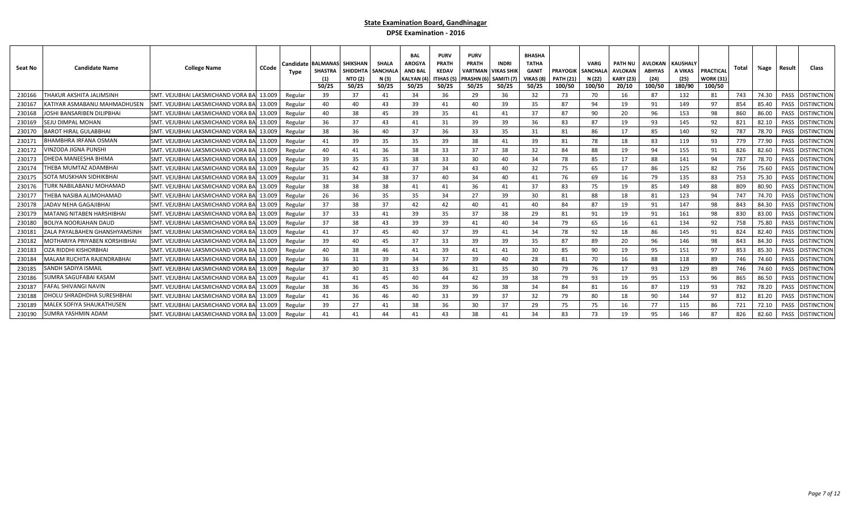| Seat No | <b>Candidate Name</b>                 | <b>College Name</b>                              | <b>CCode</b> | <b>Candidate</b><br>Tvpe | <b>BALMANAS SHIKSHAN</b><br>SHASTRA<br>50/25 | <b>SHIDDHTA</b><br><b>NTO (2)</b><br>50/25 | SHALA<br>SANCHAL<br>N (3)<br>50/25 | <b>BAL</b><br><b>AROGY</b><br><b>AND BAL</b><br>KALYAN (4<br>50/25 | <b>PURV</b><br><b>PRATH</b><br><b>KEDAV</b><br><b>ITIHAS (5</b><br>50/25 | <b>PURV</b><br><b>PRATH</b><br>VARTMAN<br>PRASHN (6<br>50/25 | <b>INDRI</b><br><b>VIKAS SHIK</b><br>SAMITI <sub>(7</sub><br>50/25 | <b>BHASHA</b><br><b>TATHA</b><br><b>GANIT</b><br>VIKAS (8)<br>50/25 | <b>PRAYOGIK</b><br><b>PATH (21)</b><br>100/50 | <b>VARG</b><br><b>SANCHALA</b><br>N (22)<br>100/50 | <b>PATH NU</b><br>AVLOKAN<br><b>KARY (23)</b><br>20/10 | <b>AVLOKAN</b><br><b>ABHYAS</b><br>(24)<br>100/50 | <b>KAUSHALY</b><br>A VIKAS<br>(25)<br>180/90 | <b>PRACTICAL</b><br><b>WORK (31)</b><br>100/50 | Total | %age  | Result      | Class              |
|---------|---------------------------------------|--------------------------------------------------|--------------|--------------------------|----------------------------------------------|--------------------------------------------|------------------------------------|--------------------------------------------------------------------|--------------------------------------------------------------------------|--------------------------------------------------------------|--------------------------------------------------------------------|---------------------------------------------------------------------|-----------------------------------------------|----------------------------------------------------|--------------------------------------------------------|---------------------------------------------------|----------------------------------------------|------------------------------------------------|-------|-------|-------------|--------------------|
| 230166  | <b>THAKUR AKSHITA JALIMSINH</b>       | SMT. VEJUBHAI LAKSMICHAND VORA BA                | 13.009       | Regular                  | 39                                           | 37                                         | 41                                 | 34                                                                 | 36                                                                       | 29                                                           | 36                                                                 | 32                                                                  | 73                                            | 70                                                 | 16                                                     | 87                                                | 132                                          | 81                                             | 743   | 74.30 | PASS        | <b>DISTINCTION</b> |
| 23016   | (ATIYAR ASMABANU MAHMADHUSEN          | <b>SMT. VEJUBHAI LAKSMICHAND VORA BAL</b>        | 13.009       | Regular                  | 40                                           | 40                                         | 43                                 | 39                                                                 | 41                                                                       | 40                                                           | 39                                                                 | 35                                                                  | 87                                            | 94                                                 | 19                                                     | 91                                                | 149                                          | 97                                             | 854   | 85.40 | <b>PASS</b> | <b>DISTINCTION</b> |
| 230168  | OSHI BANSARIBEN DILIPBHAI             | SMT. VEJUBHAI LAKSMICHAND VORA BA                | 13.009       | Regular                  | 40                                           | 38                                         | 45                                 | 39                                                                 | 35                                                                       | 41                                                           | 41                                                                 | 37                                                                  | 87                                            | 90                                                 | 20                                                     | 96                                                | 153                                          | 98                                             | 860   | 86.00 | PASS        | <b>DISTINCTION</b> |
| 230169  | SEJU DIMPAL MOHAN                     | <b>SMT. VEJUBHAI LAKSMICHAND VORA BAL 13.009</b> |              | Regular                  | 36                                           | 37                                         | 43                                 | 41                                                                 | 31                                                                       | 39                                                           | 39                                                                 | 36                                                                  | 83                                            | 87                                                 | 19                                                     | 93                                                | 145                                          | 92                                             | 821   | 82.10 | PASS        | <b>DISTINCTION</b> |
| 23017   | <b>3AROT HIRAL GULABBHAI</b>          | <b>SMT. VEJUBHAI LAKSMICHAND VORA BAL</b>        | 13.009       | Regular                  | 38                                           | 36                                         | 40                                 | 37                                                                 | 36                                                                       | 33                                                           | 35                                                                 | 31                                                                  | 81                                            | 86                                                 | 17                                                     | 85                                                | 140                                          | 92                                             | 787   | 78.70 | PASS        | <b>DISTINCTION</b> |
| 23017   | BHAMBHRA IRFANA OSMAN                 | <b>SMT. VEJUBHAI LAKSMICHAND VORA BAL</b>        | 13.009       | Regular                  | 41                                           | 39                                         | 35                                 | 35                                                                 | 39                                                                       | 38                                                           | 41                                                                 | 39                                                                  | 81                                            | 78                                                 | 18                                                     | 83                                                | 119                                          | 93                                             | 779   | 77.90 | PASS        | <b>DISTINCTION</b> |
| 23017   | <b>INZODA JIGNA PUNSHI</b>            | SMT. VEJUBHAI LAKSMICHAND VORA BA                | 13.009       | Regular                  | 40                                           | 41                                         | 36                                 | 38                                                                 | 33                                                                       | 37                                                           | 38                                                                 | 32                                                                  | 84                                            | 88                                                 | 19                                                     | 94                                                | 155                                          | 91                                             | 826   | 82.60 | PASS        | <b>DISTINCTION</b> |
| 230173  | DHEDA MANEESHA BHIMA                  | <b>SMT. VEJUBHAI LAKSMICHAND VORA BAL 13.009</b> |              | Regular                  | 39                                           | 35                                         | 35                                 | 38                                                                 | 33                                                                       | 30                                                           | 40                                                                 | 34                                                                  | 78                                            | 85                                                 | 17                                                     | 88                                                | 141                                          | 94                                             | 787   | 78.70 | PASS        | <b>DISTINCTION</b> |
| 23017   | HEBA MUMTAZ ADAMBHAI                  | SMT. VEJUBHAI LAKSMICHAND VORA BAL 13.009        |              | Regular                  | 35                                           | 42                                         | 43                                 | 37                                                                 | 34                                                                       | 43                                                           | 40                                                                 | 32                                                                  | 75                                            | 65                                                 | 17                                                     | 86                                                | 125                                          | 82                                             | 756   | 75.60 | PASS        | <b>DISTINCTION</b> |
| 230175  | SOTA MUSKHAN SIDHIKBHAI               | SMT. VEJUBHAI LAKSMICHAND VORA BA 13.009         |              | Regular                  | 31                                           | 34                                         | 38                                 | 37                                                                 | 40                                                                       | 34                                                           | 40                                                                 | 41                                                                  | 76                                            | 69                                                 | 16                                                     | 79                                                | 135                                          | 83                                             | 753   | 75.30 | PASS        | <b>DISTINCTION</b> |
| 23017   | URK NABILABANU MOHAMAD                | <b>SMT. VEJUBHAI LAKSMICHAND VORA BA</b>         | 13.009       | Regular                  | 38                                           | 38                                         | 38                                 | 41                                                                 | 41                                                                       | 36                                                           | 41                                                                 | 37                                                                  | 83                                            | 75                                                 | 19                                                     | 85                                                | 149                                          | 88                                             | 809   | 80.90 | PASS        | <b>DISTINCTION</b> |
| 23017   | <b><i>THEBA NASIBA ALIMOHAMAD</i></b> | SMT. VEJUBHAI LAKSMICHAND VORA BAL 13.009        |              | Regular                  | 26                                           | 36                                         | 35                                 | 35                                                                 | 34                                                                       | 27                                                           | 39                                                                 | 30                                                                  | 81                                            | 88                                                 | 18                                                     | 81                                                | 123                                          | 94                                             | 747   | 74.70 | PASS        | <b>DISTINCTION</b> |
| 230178  | ADAV NEHA GAGAJIBHAI                  | SMT. VEJUBHAI LAKSMICHAND VORA BA 13.009         |              | Regular                  | 37                                           | 38                                         | 37                                 | 42                                                                 | 42                                                                       | 40                                                           | 41                                                                 | 40                                                                  | 84                                            | 87                                                 | 19                                                     | 91                                                | 147                                          | 98                                             | 843   | 84.30 | PASS        | <b>DISTINCTION</b> |
| 230179  | MATANG NITABEN HARSHIBHAI             | SMT. VEJUBHAI LAKSMICHAND VORA BA 13.009         |              | Regular                  | 37                                           | 33                                         | 41                                 | 39                                                                 | 35                                                                       | 37                                                           | 38                                                                 | 29                                                                  | 81                                            | 91                                                 | 19                                                     | 91                                                | 161                                          | 98                                             | 830   | 83.00 | PASS        | <b>DISTINCTION</b> |
| 23018   | <b>BOLIYA NOORJAHAN DAUD</b>          | SMT. VEJUBHAI LAKSMICHAND VORA BAL               | 13.009       | Regular                  | 37                                           | 38                                         | 43                                 | 39                                                                 | 39                                                                       | 41                                                           | 40                                                                 | 34                                                                  | 79                                            | 65                                                 | 16                                                     | 61                                                | 134                                          | 92                                             | 758   | 75.80 | PASS        | distinction        |
| 230181  | <b>ZALA PAYALBAHEN GHANSHYAMSINH</b>  | SMT. VEJUBHAI LAKSMICHAND VORA BAL 13.009        |              | Regular                  | 41                                           | 37                                         | 45                                 | 40                                                                 | 37                                                                       | 39                                                           | 41                                                                 | 34                                                                  | 78                                            | 92                                                 | 18                                                     | 86                                                | 145                                          | 91                                             | 824   | 82.40 | PASS        | distinction        |
| 230182  | MOTHARIYA PRIYABEN KORSHIBHAI         | SMT. VEJUBHAI LAKSMICHAND VORA BA                | 13.009       | Regular                  | 39                                           | 40                                         | 45                                 | 37                                                                 | 33                                                                       | 39                                                           | 39                                                                 | 35                                                                  | 87                                            | 89                                                 | 20                                                     | 96                                                | 146                                          | 98                                             | 843   | 84.30 | PASS        | <b>DISTINCTION</b> |
| 230183  | )ZA RIDDHI KISHORBHAI                 | SMT. VEJUBHAI LAKSMICHAND VORA BA                | 13.009       | Regular                  | 40                                           | 38                                         | 46                                 | 41                                                                 | 39                                                                       | 41                                                           | 41                                                                 | 30                                                                  | 85                                            | 90                                                 | 19                                                     | 95                                                | 151                                          | 97                                             | 853   | 85.30 | PASS        | <b>DISTINCTION</b> |
| 230184  | MALAM RUCHITA RAJENDRABHAI            | SMT. VEJUBHAI LAKSMICHAND VORA BA                | 13.009       | Regular                  | 36                                           | 31                                         | 39                                 | 34                                                                 | 37                                                                       | 39                                                           | 40                                                                 | 28                                                                  | 81                                            | 70                                                 | 16                                                     | 88                                                | 118                                          | 89                                             | 746   | 74.60 | PASS        | <b>DISTINCTION</b> |
| 230185  | SANDH SADIYA ISMAIL                   | SMT. VEJUBHAI LAKSMICHAND VORA BA                | 13.009       | Regular                  | 37                                           | 30                                         | 31                                 | 33                                                                 | 36                                                                       | 31                                                           | 35                                                                 | 30                                                                  | 79                                            | 76                                                 | 17                                                     | 93                                                | 129                                          | 89                                             | 746   | 74.60 | PASS        | <b>DISTINCTION</b> |
| 230186  | UMRA SAGUFABAI KASAM                  | SMT. VEJUBHAI LAKSMICHAND VORA BAL               | 13.009       | Regular                  | 41                                           | 41                                         | 45                                 | 40                                                                 | 44                                                                       | 42                                                           | 39                                                                 | 38                                                                  | 79                                            | 93                                                 | 19                                                     | 95                                                | 153                                          | 96                                             | 865   | 86.50 | PASS        | <b>DISTINCTION</b> |
| 23018   | AFAL SHIVANGI NAVIN                   | SMT. VEJUBHAI LAKSMICHAND VORA BA                | 13.009       | Regular                  | 38                                           | 36                                         | 45                                 | 36                                                                 | 39                                                                       | 36                                                           | 38                                                                 | 34                                                                  | 84                                            | 81                                                 | 16                                                     | 87                                                | 119                                          | 93                                             | 782   | 78.20 | PASS        | <b>DISTINCTION</b> |
| 230188  | HOLU SHRADHDHA SURESHBHAI             | SMT. VEJUBHAI LAKSMICHAND VORA BA                | 13.009       | Regular                  | 41                                           | 36                                         | 46                                 | 40                                                                 | 33                                                                       | 39                                                           | 37                                                                 | 32                                                                  | 79                                            | 80                                                 | 18                                                     | 90                                                | 144                                          | 97                                             | 812   | 81.20 | PASS        | <b>DISTINCTION</b> |
| 230189  | <b>MALEK SOFIYA SHAUKATHUSEN</b>      | SMT. VEJUBHAI LAKSMICHAND VORA BA                | 13.009       | Regular                  | 39                                           | 27                                         | 41                                 | 38                                                                 | 36                                                                       | 30                                                           | 37                                                                 | 29                                                                  | 75                                            | 75                                                 | 16                                                     | 77                                                | 115                                          | 86                                             | 721   | 72.10 | PASS        | <b>DISTINCTION</b> |
| 230190  | <b>SUMRA YASHMIN ADAM</b>             | SMT. VEJUBHAI LAKSMICHAND VORA BA 13.009         |              | Regular                  | 41                                           | 41                                         | 44                                 | 41                                                                 | 43                                                                       | 38                                                           | 41                                                                 | 34                                                                  | 83                                            | 73                                                 | 19                                                     | 95                                                | 146                                          | 87                                             | 826   | 82.60 | PASS        | <b>DISTINCTION</b> |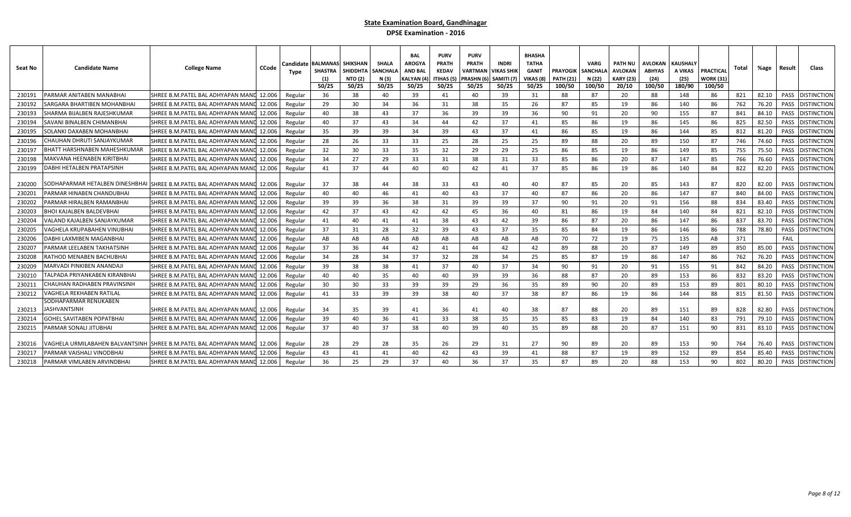| Seat No | <b>Candidate Name</b>            | <b>College Name</b><br>CCode                                               | Candidate<br>Type | <b>BALMANAS SHIKSHAN</b><br><b>SHASTRA</b><br>(1)<br>50/25 | <b>SHIDDHTA</b><br><b>NTO (2)</b><br>50/25 | <b>SHALA</b><br><b>SANCHALA</b><br>N (3)<br>50/25 | <b>BAL</b><br><b>AROGYA</b><br><b>AND BAL</b><br>KALYAN (4<br>50/25 | <b>PURV</b><br><b>PRATH</b><br><b>KEDAV</b><br>ITIHAS (5<br>50/25 | <b>PURV</b><br><b>PRATH</b><br>VARTMAN<br>PRASHN (6<br>50/25 | INDRI<br>VIKAS SHIK<br>SAMITI (7)<br>50/25 | <b>BHASHA</b><br><b>TATHA</b><br>GANIT<br>VIKAS (8<br>50/25 | <b>PRAYOGIK   SANCHALA</b><br><b>PATH (21)</b><br>100/50 | <b>VARG</b><br>N (22)<br>100/50 | PATH NU<br>AVLOKAN<br><b>KARY (23)</b><br>20/10 | AVLOKAN<br><b>ABHYAS</b><br>(24)<br>100/50 | <b>KAUSHALY</b><br>A VIKAS<br>(25)<br>180/90 | PRACTICAL<br>WORK (31)<br>100/50 | Total | %age  | Result | Class              |
|---------|----------------------------------|----------------------------------------------------------------------------|-------------------|------------------------------------------------------------|--------------------------------------------|---------------------------------------------------|---------------------------------------------------------------------|-------------------------------------------------------------------|--------------------------------------------------------------|--------------------------------------------|-------------------------------------------------------------|----------------------------------------------------------|---------------------------------|-------------------------------------------------|--------------------------------------------|----------------------------------------------|----------------------------------|-------|-------|--------|--------------------|
| 230191  | PARMAR ANITABEN MANABHAI         | SHREE B.M.PATEL BAL ADHYAPAN MAN<br>12.006                                 | Regular           | 36                                                         | 38                                         | 40                                                | - 39                                                                | 41                                                                | 40                                                           | 39                                         | 31                                                          | 88                                                       | 87                              | 20                                              | 88                                         | 148                                          | 86                               | 821   | 82.10 | PASS   | <b>DISTINCTION</b> |
| 230192  | ARGARA BHARTIBEN MOHANBHA        | SHREE B.M.PATEL BAL ADHYAPAN MANI<br>12.006                                | Regular           | 29                                                         | 30                                         | 34                                                | 36                                                                  | 31                                                                | 38                                                           | 35                                         | 26                                                          | 87                                                       | 85                              | 19                                              | 86                                         | 140                                          | 86                               | 762   | 76.20 | PASS   | DISTINCTION        |
| 230193  | SHARMA BIJALBEN RAJESHKUMAR      | SHREE B.M.PATEL BAL ADHYAPAN MAND<br>12.006                                | Regular           | 40                                                         | 38                                         | 43                                                | 37                                                                  | 36                                                                | 39                                                           | 39                                         | 36                                                          | 90                                                       | 91                              | 20                                              | 90                                         | 155                                          | 87                               | 841   | 84.10 | PASS   | <b>DISTINCTION</b> |
| 230194  | SAVANI BINALBEN CHIMANBHAI       | 12.006<br>SHREE B.M.PATEL BAL ADHYAPAN MAND                                | Regular           | 40                                                         | 37                                         | 43                                                | 34                                                                  | 44                                                                | 42                                                           | 37                                         | 41                                                          | 85                                                       | 86                              | 19                                              | 86                                         | 145                                          | 86                               | 825   | 82.50 | PASS   | <b>DISTINCTION</b> |
| 230195  | SOLANKI DAXABEN MOHANBHAI        | SHREE B.M.PATEL BAL ADHYAPAN MAN<br>12.006                                 | Regular           | 35                                                         | 39                                         | 39                                                | 34                                                                  | 39                                                                | 43                                                           | 37                                         | 41                                                          | 86                                                       | 85                              | 19                                              | 86                                         | 144                                          | 85                               | 812   | 81.20 | PASS   | <b>DISTINCTION</b> |
| 230196  | :HAUHAN DHRUTI SANJAYKUMAF       | SHREE B.M.PATEL BAL ADHYAPAN MANI<br>12.006                                | Regular           | 28                                                         | 26                                         | 33                                                | 33                                                                  | 25                                                                | 28                                                           | 25                                         | 25                                                          | 89                                                       | 88                              | 20                                              | 89                                         | 150                                          | 87                               | 746   | 74.60 | PASS   | )ISTINCTION        |
| 230197  | HATT HARSHNABEN MAHESHKUMAR      | 12.006<br>SHREE B.M.PATEL BAL ADHYAPAN MANI                                | Regular           | 32                                                         | 30                                         | 33                                                | 35                                                                  | 32                                                                | 29                                                           | 29                                         | 25                                                          | 86                                                       | 85                              | 19                                              | 86                                         | 149                                          | 85                               | 755   | 75.50 | PASS   | <b>DISTINCTION</b> |
| 230198  | AAKVANA HEENABEN KIRITBHAI       | SHREE B.M.PATEL BAL ADHYAPAN MANI<br>12.006                                | Regular           | 34                                                         | 27                                         | 29                                                | 33                                                                  | 31                                                                | 38                                                           | 31                                         | 33                                                          | 85                                                       | 86                              | 20                                              | 87                                         | 147                                          | 85                               | 766   | 76.60 | PASS   | <b>DISTINCTION</b> |
| 230199  | <b>DABHI HETALBEN PRATAPSINH</b> | SHREE B.M.PATEL BAL ADHYAPAN MAN<br>12.006                                 | Regular           | 41                                                         | 37                                         | 44                                                | 40                                                                  | 40                                                                | 42                                                           | 41                                         | 37                                                          | 85                                                       | 86                              | 19                                              | 86                                         | 140                                          | 84                               | 822   | 82.20 | PASS   | <b>DISTINCTION</b> |
| 230200  |                                  | SODHAPARMAR HETALBEN DINESHBHAI SHREE B.M.PATEL BAL ADHYAPAN MANL 12.006   | Regular           | 37                                                         | 38                                         | 44                                                | 38                                                                  | 33                                                                | 43                                                           | 40                                         | 40                                                          | 87                                                       | 85                              | 20                                              | 85                                         | 143                                          | 87                               | 820   | 82.00 | PASS   | <b>DISTINCTION</b> |
| 230201  | ARMAR HINABEN CHANDUBHAI         | SHREE B.M.PATEL BAL ADHYAPAN MANI<br>12.006                                | Regular           | 40                                                         | 40                                         | 46                                                | 41                                                                  | 40                                                                | 43                                                           | 37                                         | 40                                                          | 87                                                       | 86                              | 20                                              | 86                                         | 147                                          | 87                               | 840   | 84.00 | PASS   | <b>DISTINCTION</b> |
| 230202  | PARMAR HIRALBEN RAMANBHAI        | SHREE B.M.PATEL BAL ADHYAPAN MAN<br>12.006                                 | Regular           | 39                                                         | 39                                         | 36                                                | 38                                                                  | 31                                                                | 39                                                           | 39                                         | 37                                                          | 90                                                       | 91                              | 20                                              | 91                                         | 156                                          | 88                               | 834   | 83.40 | PASS   | <b>DISTINCTION</b> |
| 230203  | HOI KAJALBEN BALDEVBHAI          | SHREE B.M.PATEL BAL ADHYAPAN MANI<br>12.006                                | Regular           | 42                                                         | 37                                         | 43                                                | 42                                                                  | 42                                                                | 45                                                           | 36                                         | 40                                                          | 81                                                       | 86                              | 19                                              | 84                                         | 140                                          | 84                               | 821   | 82.10 | PASS   | <b>DISTINCTION</b> |
| 230204  | /ALAND KAJALBEN SANJAYKUMAF      | SHREE B.M.PATEL BAL ADHYAPAN MAND<br>12.006                                | Regular           | 41                                                         | 40                                         | 41                                                | 41                                                                  | 38                                                                | 43                                                           | 42                                         | 39                                                          | 86                                                       | 87                              | 20                                              | 86                                         | 147                                          | 86                               | 837   | 83.70 | PASS   | <b>DISTINCTION</b> |
| 230205  | /AGHELA KRUPABAHEN VINUBHA       | SHREE B.M.PATEL BAL ADHYAPAN MANI<br>12.006                                | Regular           | 37                                                         | 31                                         | 28                                                | 32                                                                  | 39                                                                | 43                                                           | 37                                         | 35                                                          | 85                                                       | 84                              | 19                                              | 86                                         | 146                                          | 86                               | 788   | 78.80 | PASS   | <b>DISTINCTION</b> |
| 230206  | DABHI LAXMIBEN MAGANBHAI         | SHREE B.M.PATEL BAL ADHYAPAN MANI<br>12.006                                | Regular           | AB                                                         | AB                                         | AB                                                | AB                                                                  | AB                                                                | AB                                                           | AB                                         | AB                                                          | 70                                                       | 72                              | 19                                              | 75                                         | 135                                          | AB                               | 371   |       | FAIL   |                    |
| 230207  | PARMAR LEELABEN TAKHATSINH       | SHREE B.M.PATEL BAL ADHYAPAN MANI<br>12.006                                | Regular           | 37                                                         | 36                                         | 44                                                | 42                                                                  | 41                                                                | 44                                                           | 42                                         | 42                                                          | 89                                                       | 88                              | 20                                              | 87                                         | 149                                          | 89                               | 850   | 85.00 | PASS   | <b>DISTINCTION</b> |
| 230208  | ATHOD MENABEN BACHUBHAI          | SHREE B.M.PATEL BAL ADHYAPAN MAN<br>12.006                                 | Regular           | 34                                                         | 28                                         | 34                                                | -37                                                                 | 32                                                                | 28                                                           | 34                                         | 25                                                          | 85                                                       | 87                              | 19                                              | 86                                         | 147                                          | 86                               | 762   | 76.20 | PASS   | <b>DISTINCTION</b> |
| 230209  | AARVADI PINKIBEN ANANDAJI        | SHREE B.M.PATEL BAL ADHYAPAN MAN<br>12.006                                 | Regular           | 39                                                         | 38                                         | 38                                                | 41                                                                  | 37                                                                | 40                                                           | 37                                         | 34                                                          | 90                                                       | 91                              | 20                                              | 91                                         | 155                                          | 91                               | 842   | 84.20 | PASS   | <b>DISTINCTION</b> |
| 230210  | ALPADA PRIYANKABEN KIRANBHA      | SHREE B.M.PATEL BAL ADHYAPAN MAN<br>12.006                                 | Regular           | 40                                                         | 40                                         | 35                                                | 40                                                                  | 40                                                                | 39                                                           | 39                                         | 36                                                          | 88                                                       | 87                              | 20                                              | 89                                         | 153                                          | 86                               | 832   | 83.20 | PASS   | <b>DISTINCTION</b> |
| 230211  | CHAUHAN RADHABEN PRAVINSINH      | SHREE B.M.PATEL BAL ADHYAPAN MAN<br>12.006                                 | Regular           | 30                                                         | 30                                         | 33                                                | 39                                                                  | 39                                                                | 29                                                           | 36                                         | 35                                                          | 89                                                       | 90                              | 20                                              | 89                                         | 153                                          | 89                               | 801   | 80.10 | PASS   | <b>DISTINCTION</b> |
| 230212  | /AGHELA REKHABEN RATILAL         | SHREE B.M.PATEL BAL ADHYAPAN MANI<br>12.006                                | Regular           | 41                                                         | 33                                         | 39                                                | 39                                                                  | 38                                                                | 40                                                           | 37                                         | 38                                                          | 87                                                       | 86                              | 19                                              | 86                                         | 144                                          | 88                               | 815   | 81.50 | PASS   | <b>DISTINCTION</b> |
|         | SODHAPARMAR RENUKABEN            |                                                                            |                   |                                                            |                                            |                                                   |                                                                     |                                                                   |                                                              |                                            |                                                             |                                                          |                                 |                                                 |                                            |                                              |                                  |       |       |        |                    |
| 230213  | IASHVANTSINH                     | SHREE B.M.PATEL BAL ADHYAPAN MAND<br>12.006                                | Regular           | 34                                                         | 35                                         | 39                                                | 41                                                                  | 36                                                                | 41                                                           | 40                                         | 38                                                          | 87                                                       | 88                              | 20                                              | 89                                         | 151                                          | 89                               | 828   | 82.80 | PASS   | <b>DISTINCTION</b> |
| 230214  | GOHEL SAVITABEN POPATBHAI        | SHREE B.M.PATEL BAL ADHYAPAN MANI<br>12.006                                | Regular           | 39                                                         | 40                                         | 36                                                | 41                                                                  | 33                                                                | 38                                                           | 35                                         | 35                                                          | 85                                                       | 83                              | 19                                              | 84                                         | 140                                          | 83                               | 791   | 79.10 | PASS   | <b>DISTINCTION</b> |
| 230215  | ARMAR SONALI JITUBHAI            | SHREE B.M.PATEL BAL ADHYAPAN MANI<br>12.006                                | Regular           | 37                                                         | 40                                         | 37                                                | 38                                                                  | 40                                                                | 39                                                           | 40                                         | 35                                                          | 89                                                       | 88                              | 20                                              | 87                                         | 151                                          | 90                               | 831   | 83.10 | PASS   | <b>DISTINCTION</b> |
| 230216  |                                  | /AGHELA URMILABAHEN BALVANTSINH  SHREE B.M.PATEL BAL ADHYAPAN MANU  12.006 | Regular           | 28                                                         | 29                                         | 28                                                | 35                                                                  | 26                                                                | 29                                                           | 31                                         | 27                                                          | 90                                                       | 89                              | 20                                              | 89                                         | 153                                          | 90                               | 764   | 76.40 | PASS   | <b>DISTINCTION</b> |
| 23021   | PARMAR VAISHALI VINODBHAI        | SHREE B.M.PATEL BAL ADHYAPAN MANI<br>12.006                                | Regular           | 43                                                         | 41                                         | 41                                                | 40                                                                  | 42                                                                | 43                                                           | 39                                         | 41                                                          | 88                                                       | 87                              | 19                                              | 89                                         | 152                                          | 89                               | 854   | 85.40 | PASS   | <b>DISTINCTION</b> |
| 230218  | PARMAR VIMLABEN ARVINDBHAI       | SHREE B.M.PATEL BAL ADHYAPAN MAND<br>12.006                                | Regular           | 36                                                         | 25                                         | 29                                                | 37                                                                  | 40                                                                | 36                                                           | 37                                         | 35                                                          | 87                                                       | 89                              | 20                                              | 88                                         | 153                                          | 90                               | 802   | 80.20 | PASS   | <b>DISTINCTION</b> |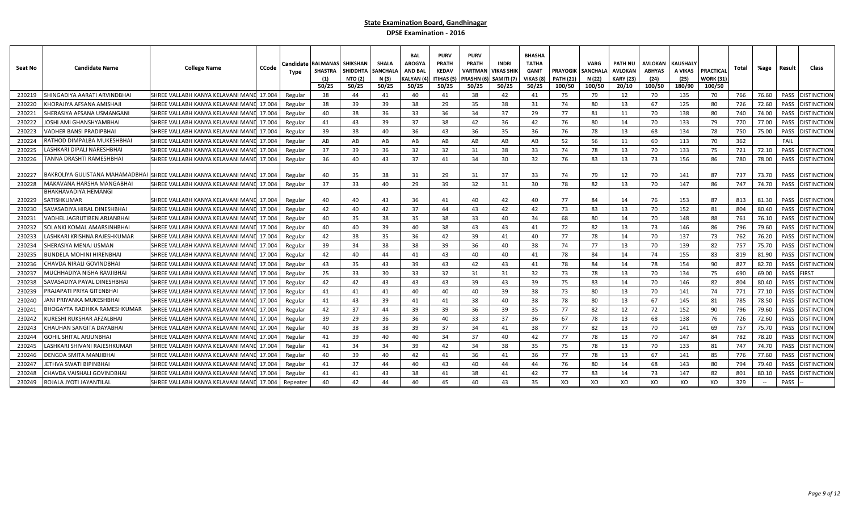| Seat No | <b>Candidate Name</b>               | CCode<br>College Name                                                        | Candidate<br>Type | <b>BALMANAS SHIKSHAN</b><br><b>SHASTRA</b><br>(1)<br>50/25 | <b>SHIDDHTA</b><br><b>NTO (2)</b><br>50/25 | <b>SHALA</b><br><b>SANCHALA</b><br>N (3)<br>50/25 | <b>BAI</b><br><b>AROGYA</b><br><b>AND BAL</b><br>(ALYAN (4<br>50/25 | <b>PURV</b><br><b>PRATH</b><br><b>KEDAV</b><br>ITIHAS (5<br>50/25 | <b>PURV</b><br><b>PRATH</b><br>VARTMAN<br>PRASHN (<br>50/25 | <b>INDRI</b><br>VIKAS SHIK<br>SAMITI (7<br>50/25 | <b>BHASHA</b><br><b>TATHA</b><br><b>GANIT</b><br>VIKAS (8<br>50/25 | <b>PRAYOGIK</b><br><b>PATH (21)</b><br>100/50 | <b>VARG</b><br><b>SANCHALA</b><br>N (22)<br>100/50 | PATH NU<br>AVLOKAN<br>KARY (23)<br>20/10 | AVLOKAN<br><b>ABHYAS</b><br>(24)<br>100/50 | <b>KAUSHALY</b><br>A VIKAS<br>(25)<br>180/90 | PRACTICAI<br>WORK (31)<br>100/50 | Total | %age  | Result      | Class              |
|---------|-------------------------------------|------------------------------------------------------------------------------|-------------------|------------------------------------------------------------|--------------------------------------------|---------------------------------------------------|---------------------------------------------------------------------|-------------------------------------------------------------------|-------------------------------------------------------------|--------------------------------------------------|--------------------------------------------------------------------|-----------------------------------------------|----------------------------------------------------|------------------------------------------|--------------------------------------------|----------------------------------------------|----------------------------------|-------|-------|-------------|--------------------|
| 230219  | HINGADIYA AARATI ARVINDBHAI         | SHREE VALLABH KANYA KELAVANI MANI<br>17.004                                  | Regular           | 38                                                         | 44                                         | 41                                                | 40                                                                  | 41                                                                | 38                                                          | 42                                               | 41                                                                 | 75                                            | 79                                                 | 12                                       | 70                                         | 135                                          | 70                               | 766   | 76.60 | PASS        | <b>DISTINCTIOI</b> |
| 230220  | (HORAJIYA AFSANA AMISHAJ            | SHREE VALLABH KANYA KELAVANI MANI<br>17.004                                  | Regular           | 38                                                         | 39                                         | 39                                                | 38                                                                  | 29                                                                | 35                                                          | 38                                               | 31                                                                 | 74                                            | 80                                                 | 13                                       | 67                                         | 125                                          | 80                               | 726   | 72.60 | PASS        | DISTINCTION        |
| 230221  | SHERASIYA AFSANA USMANGANI          | SHREE VALLABH KANYA KELAVANI MANI<br>17.004                                  | Regular           | 40                                                         | 38                                         | 36                                                | 33                                                                  | 36                                                                | 34                                                          | 37                                               | 29                                                                 | 77                                            | 81                                                 | 11                                       | 70                                         | 138                                          | 80                               | 740   | 74.00 | PASS        | <b>DISTINCTION</b> |
| 230222  | OSHI AMI GHANSHYAMBHAI              | SHREE VALLABH KANYA KELAVANI MANI<br>17.004                                  | Regular           | 41                                                         | 43                                         | 39                                                | 37                                                                  | 38                                                                | 42                                                          | 36                                               | 42                                                                 | 76                                            | 80                                                 | 14                                       | 70                                         | 133                                          | 79                               | 770   | 77.00 | PASS        | DISTINCTION        |
| 230223  | /ADHER BANSI PRADIPBHAI             | 17.004<br>SHREE VALLABH KANYA KELAVANI MANI                                  | Regular           | 39                                                         | 38                                         | 40                                                | 36                                                                  | 43                                                                | 36                                                          | 35                                               | 36                                                                 | 76                                            | 78                                                 | 13                                       | 68                                         | 134                                          | 78                               | 750   | 75.00 | PASS        | distinction        |
| 230224  | RATHOD DIMPALBA MUKESHBHA           | 17.004<br>SHREE VALLABH KANYA KELAVANI MANI                                  | Regular           | AB                                                         | AB                                         | AB                                                | AB                                                                  | AB                                                                | AB                                                          | AB                                               | AB                                                                 | 52                                            | 56                                                 | 11                                       | 60                                         | 113                                          | 70                               | 362   |       | FAIL        |                    |
| 230225  | ASHKARI DIPALI NARESHBHAI.          | SHREE VALLABH KANYA KELAVANI MANI<br>17.004                                  | Regular           | 37                                                         | 39                                         | 36                                                | 32                                                                  | 32                                                                | 31                                                          | 38                                               | 33                                                                 | 74                                            | 78                                                 | 13                                       | 70                                         | 133                                          | 75                               | 721   | 72.10 | PASS        | <b>DISTINCTION</b> |
| 230226  | FANNA DRASHTI RAMESHBHAI            | SHREE VALLABH KANYA KELAVANI MANI<br>17.004                                  | Regular           | 36                                                         | 40                                         | 43                                                | -37                                                                 | 41                                                                | 34                                                          | 30                                               | 32                                                                 | 76                                            | 83                                                 | 13                                       | 73                                         | 156                                          | 86                               | 780   | 78.00 | PASS        | <b>DISTINCTION</b> |
| 230227  |                                     | BAKROLIYA GULISTANA MAHAMADBHAI [SHREE VALLABH KANYA KELAVANI MANL<br>17.004 | Regular           | 40                                                         | 35                                         | 38                                                | 31                                                                  | 29                                                                | 31                                                          | 37                                               | 33                                                                 | 74                                            | 79                                                 | 12                                       | 70                                         | 141                                          | 87                               | 737   | 73.70 | PASS        | <b>DISTINCTION</b> |
| 230228  | AAKAVANA HARSHA MANGABHAI           | SHREE VALLABH KANYA KELAVANI MANI<br>17.004                                  | Regular           | 37                                                         | 33                                         | 40                                                | 29                                                                  | 39                                                                | 32                                                          | 31                                               | 30                                                                 | 78                                            | 82                                                 | 13                                       | 70                                         | 147                                          | 86                               | 747   | 74.70 | PASS        | DISTINCTION        |
| 230229  | BHAKHAVADIYA HEMANGI<br>SATISHKUMAR | SHREE VALLABH KANYA KELAVANI MANU 17.004                                     | Regular           | 40                                                         | 40                                         | 43                                                | 36                                                                  | 41                                                                | 40                                                          | 42                                               | 40                                                                 | 77                                            | 84                                                 | 14                                       | 76                                         | 153                                          | 87                               | 813   | 81.30 | PASS        | <b>DISTINCTION</b> |
| 230230  | SAVASADIYA HIRAL DINESHBHAI         | SHREE VALLABH KANYA KELAVANI MAN<br>17.004                                   | Regular           | 42                                                         | 40                                         | 42                                                | -37                                                                 | 44                                                                | 43                                                          | 42                                               | 42                                                                 | 73                                            | 83                                                 | 13                                       | 70                                         | 152                                          | 81                               | 804   | 80.40 | PASS        | DISTINCTION        |
| 230231  | /ADHEL JAGRUTIBEN ARJANBHAI         | SHREE VALLABH KANYA KELAVANI MAN<br>17.004                                   | Regular           | 40                                                         | 35                                         | 38                                                | 35                                                                  | 38                                                                | 33                                                          | 40                                               | 34                                                                 | 68                                            | 80                                                 | 14                                       | 70                                         | 148                                          | 88                               | 761   | 76.10 | PASS        | <b>DISTINCTION</b> |
| 230232  | SOLANKI KOMAL AMARSINHBHAI          | SHREE VALLABH KANYA KELAVANI MANI<br>17.004                                  | Regular           | 40                                                         | 40                                         | 39                                                | 40                                                                  | 38                                                                | 43                                                          | 43                                               | 41                                                                 | 72                                            | 82                                                 | 13                                       | 73                                         | 146                                          | 86                               | 796   | 79.60 | PASS        | DISTINCTION        |
| 230233  | ASHKARI KRISHNA RAJESHKUMAF.        | SHREE VALLABH KANYA KELAVANI MANI<br>17.004                                  | Regular           | 42                                                         | 38                                         | 35                                                | 36                                                                  | 42                                                                | 39                                                          | 41                                               | 40                                                                 | 77                                            | 78                                                 | 14                                       | 70                                         | 137                                          | 73                               | 762   | 76.20 | PASS        | distinction        |
| 230234  | SHERASIYA MENAJ USMAN               | SHREE VALLABH KANYA KELAVANI MANI<br>17.004                                  | Regular           | 39                                                         | 34                                         | 38                                                | 38                                                                  | 39                                                                | 36                                                          | 40                                               | 38                                                                 | 74                                            | 77                                                 | 13                                       | 70                                         | 139                                          | 82                               | 757   | 75.70 | PASS        | distinction        |
| 230235  | BUNDELA MOHINI HIRENBHAI            | SHREE VALLABH KANYA KELAVANI MANI<br>17.004                                  | Regular           | 42                                                         | 40                                         | 44                                                | 41                                                                  | 43                                                                | 40                                                          | 40                                               | 41                                                                 | 78                                            | 84                                                 | 14                                       | 74                                         | 155                                          | 83                               | 819   | 81.90 | PASS        | DISTINCTION        |
| 230236  | CHAVDA NIRALI GOVINDBHAI            | SHREE VALLABH KANYA KELAVANI MANI<br>17.004                                  | Regular           | 43                                                         | 35                                         | 43                                                | 39                                                                  | 43                                                                | 42                                                          | 43                                               | 41                                                                 | 78                                            | 84                                                 | 14                                       | 78                                         | 154                                          | 90                               | 827   | 82.70 | PASS        | DISTINCTION        |
| 230237  | VIUCHHADIYA NISHA RAVJIBHAI         | SHREE VALLABH KANYA KELAVANI MANI<br>17.004                                  | Regular           | 25                                                         | 33                                         | 30                                                | 33                                                                  | 32                                                                | 31                                                          | 31                                               | 32                                                                 | 73                                            | 78                                                 | 13                                       | 70                                         | 134                                          | 75                               | 690   | 69.00 | PASS        | <b>IRST</b>        |
| 230238  | SAVASADIYA PAYAL DINESHBHAI         | 17.004<br>SHREE VALLABH KANYA KELAVANI MANI                                  | Regular           | 42                                                         | 42                                         | 43                                                | 43                                                                  | 43                                                                | 39                                                          | 43                                               | 39                                                                 | 75                                            | 83                                                 | 14                                       | 70                                         | 146                                          | 82                               | 804   | 80.40 | PASS        | DISTINCTION        |
| 230239  | PRAJAPATI PRIYA GITENBHAI           | SHREE VALLABH KANYA KELAVANI MANI<br>17.004                                  | Regular           | 41                                                         | 41                                         | 41                                                | 40                                                                  | 40                                                                | 40                                                          | 39                                               | 38                                                                 | 73                                            | 80                                                 | 13                                       | 70                                         | 141                                          | 74                               | 771   | 77.10 | <b>PASS</b> | distinction        |
| 230240  | ANI PRIYANKA MUKESHBHAI             | SHREE VALLABH KANYA KELAVANI MANI<br>17.004                                  | Regular           | 41                                                         | 43                                         | 39                                                | 41                                                                  | 41                                                                | 38                                                          | 40                                               | 38                                                                 | 78                                            | 80                                                 | 13                                       | 67                                         | 145                                          | 81                               | 785   | 78.50 | PASS        | DISTINCTION        |
| 230241  | IHOGAYTA RADHIKA RAMESHKUMAR        | SHREE VALLABH KANYA KELAVANI MANI<br>17.004                                  | Regular           | 42                                                         | 37                                         | 44                                                | 39                                                                  | 39                                                                | 36                                                          | 39                                               | 35                                                                 | 77                                            | 82                                                 | 12                                       | 72                                         | 152                                          | 90                               | 796   | 79.60 | PASS        | DISTINCTION        |
| 230242  | URESHI RUKSHAR AFZALBHAI            | SHREE VALLABH KANYA KELAVANI MANI<br>17.004                                  | Regular           | 39                                                         | 29                                         | 36                                                | 36                                                                  | 40                                                                | 33                                                          | 37                                               | 36                                                                 | 67                                            | 78                                                 | 13                                       | 68                                         | 138                                          | 76                               | 726   | 72.60 | PASS        | distinction        |
| 230243  | CHAUHAN SANGITA DAYABHAI            | SHREE VALLABH KANYA KELAVANI MANI<br>17.004                                  | Regular           | 40                                                         | 38                                         | 38                                                | 39                                                                  | 37                                                                | 34                                                          | 41                                               | 38                                                                 | 77                                            | 82                                                 | 13                                       | 70                                         | 141                                          | 69                               | 757   | 75.70 | PASS        | distinction        |
| 230244  | GOHIL SHITAL ARJUNBHAI              | 17.004<br>SHREE VALLABH KANYA KELAVANI MANI                                  | Regular           | 41                                                         | 39                                         | 40                                                | 40                                                                  | 34                                                                | 37                                                          | 40                                               | 42                                                                 | 77                                            | 78                                                 | 13                                       | 70                                         | 147                                          | 84                               | 782   | 78.20 | PASS        | distinction        |
| 230245  | ASHKARI SHIVANI RAJESHKUMAR.        | 17.004<br>SHREE VALLABH KANYA KELAVANI MANI                                  | Regular           | 41                                                         | 34                                         | 34                                                | 39                                                                  | 42                                                                | 34                                                          | 38                                               | 35                                                                 | 75                                            | 78                                                 | 13                                       | 70                                         | 133                                          | 81                               | 747   | 74.70 | PASS        | distinction        |
| 230246  | DENGDA SMITA MANJIBHAI              | SHREE VALLABH KANYA KELAVANI MANI<br>17.004                                  | Regular           | 40                                                         | 39                                         | 40                                                | 42                                                                  | 41                                                                | 36                                                          | 41                                               | 36                                                                 | 77                                            | 78                                                 | 13                                       | 67                                         | 141                                          | 85                               | 776   | 77.60 | PASS        | <b>DISTINCTION</b> |
| 230247  | ETHVA SWATI BIPINBHAI               | SHREE VALLABH KANYA KELAVANI MANI<br>17.004                                  | Regular           | 41                                                         | 37                                         | 44                                                | 40                                                                  | 43                                                                | 40                                                          | 44                                               | 44                                                                 | 76                                            | 80                                                 | 14                                       | 68                                         | 143                                          | 80                               | 794   | 79.40 | PASS        | <b>DISTINCTION</b> |
| 230248  | HAVDA VAISHALI GOVINDBHAI:          | SHREE VALLABH KANYA KELAVANI MAN<br>17.004                                   | Regular           | 41                                                         | 41                                         | 43                                                | 38                                                                  | 41                                                                | 38                                                          | 41                                               | 42                                                                 | 77                                            | 83                                                 | 14                                       | 73                                         | 147                                          | 82                               | 801   | 80.10 | PASS        | <b>DISTINCTION</b> |
| 230249  | ROJALA JYOTI JAYANTILAL             | SHREE VALLABH KANYA KELAVANI MANU 17.004                                     | Repeater          | 40                                                         | 42                                         | 44                                                | 40                                                                  | 45                                                                | 40                                                          | 43                                               | 35                                                                 | XO                                            | XO                                                 | XO                                       | XO                                         | XO                                           | XO                               | 329   |       | PASS        |                    |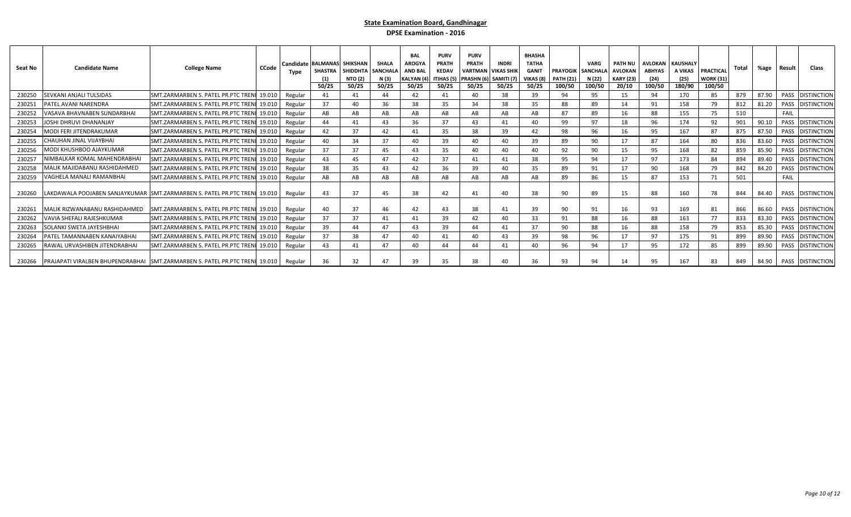| Seat No | <b>Candidate Name</b>           | <b>College Name</b>                                                                | CCode | Type    | Candidate BALMANAS SHIKSHAN<br>(1)<br>50/25 | SHASTRA SHIDDHTA<br><b>NTO (2)</b><br>50/25 | <b>SHALA</b><br><b>SANCHALA</b><br>N (3)<br>50/25 | <b>BAL</b><br>AROGY/<br><b>AND BAI</b><br><b>KALYAN</b> (4)<br>50/25 | <b>PURV</b><br>PRATH<br><b>KEDAV</b><br>ITIHAS (5)<br>50/25 | <b>PURV</b><br><b>PRATH</b><br><b>VARTMAN VIKAS SHIK</b><br>PRASHN (6) SAMITI (7)<br>50/25 | <b>INDRI</b><br>50/25 | <b>BHASHA</b><br><b>TATHA</b><br><b>GANIT</b><br>VIKAS (8<br>50/25 | <b>PRAYOGIK</b><br><b>PATH (21)</b><br>100/50 | <b>VARG</b><br><b>SANCHALA</b><br>N (22)<br>100/50 | <b>PATH NU</b><br><b>AVLOKAN</b><br><b>KARY (23)</b><br>20/10 | AVLOKAN KAUSHALY<br><b>ABHYAS</b><br>(24)<br>100/50 | A VIKAS<br>(25)<br>180/90 | PRACTICAL<br><b>WORK (31)</b><br>100/50 | Total | %age  | Result | Class                      |
|---------|---------------------------------|------------------------------------------------------------------------------------|-------|---------|---------------------------------------------|---------------------------------------------|---------------------------------------------------|----------------------------------------------------------------------|-------------------------------------------------------------|--------------------------------------------------------------------------------------------|-----------------------|--------------------------------------------------------------------|-----------------------------------------------|----------------------------------------------------|---------------------------------------------------------------|-----------------------------------------------------|---------------------------|-----------------------------------------|-------|-------|--------|----------------------------|
| 230250  | <b>SEVKANI ANJALI TULSIDAS</b>  | SMT.ZARMARBEN S. PATEL PR.PTC TRENI 19.010                                         |       | Regular | 41                                          | 41                                          | 44                                                | 42                                                                   | 41                                                          | 40                                                                                         | 38                    | 39                                                                 | 94                                            | 95                                                 | 15                                                            | 94                                                  | 170                       | 85                                      | 879   | 87.90 |        | PASS DISTINCTION           |
| 230251  | PATEL AVANI NARENDRA            | SMT.ZARMARBEN S. PATEL PR.PTC TRENI 19.010                                         |       | Regular | 37                                          | 40                                          | 36                                                | 38                                                                   | 35                                                          | 34                                                                                         | 38                    | 35                                                                 | 88                                            | 89                                                 |                                                               | 91                                                  | 158                       | 79                                      | 812   | 81.20 |        | PASS DISTINCTION           |
| 230252  | VASAVA BHAVNABEN SUNDARBHAI     | SMT.ZARMARBEN S. PATEL PR.PTC TRENI 19.010                                         |       | Regular | AB                                          | AB                                          | AB                                                | AB                                                                   | AB                                                          | AB                                                                                         | AB                    | AB                                                                 | 87                                            | 89                                                 | 16                                                            | 88                                                  | 155                       | 75                                      | 510   |       | FAIL   |                            |
| 230253  | IOSHI DHRUVI DHANANJAY          | SMT.ZARMARBEN S. PATEL PR.PTC TRENI 19.010                                         |       | Regular | 44                                          | 41                                          | 43                                                | 36                                                                   | 37                                                          | 43                                                                                         | 41                    | 40                                                                 | 99                                            | 97                                                 |                                                               | 96                                                  | 174                       | 92                                      | 901   | 90.10 |        | PASS DISTINCTION           |
| 230254  | MODI FERI JITENDRAKUMAR         | SMT.ZARMARBEN S. PATEL PR.PTC TRENI 19.010                                         |       | Regular | 42                                          | 37                                          | 42                                                |                                                                      | 35                                                          | 38                                                                                         | 39                    | 42                                                                 | 98                                            | 96                                                 |                                                               | 95                                                  | 167                       | 87                                      | 875   | 87.50 |        | PASS DISTINCTION           |
| 230255  | CHAUHAN JINAL VIJAYBHAI         | SMT.ZARMARBEN S. PATEL PR.PTC TRENI 19.010                                         |       | Regular | 40                                          | 34                                          | 37                                                | 40                                                                   | 39                                                          | 40                                                                                         | 40                    | 39                                                                 | 89                                            | 90                                                 |                                                               | 87                                                  | 164                       | 80                                      | 836   | 83.60 |        | PASS DISTINCTION           |
| 230256  | MODI KHUSHBOO AJAYKUMAR         | SMT.ZARMARBEN S. PATEL PR.PTC TRENI 19.010                                         |       | Regular | 37                                          | 37                                          | 45                                                | 43                                                                   | 35                                                          | 40                                                                                         | 40                    | 40                                                                 | 92                                            | 90                                                 | 15                                                            | 95                                                  | 168                       | 82                                      | 859   | 85.90 |        | PASS DISTINCTION           |
| 230257  | NIMBALKAR KOMAL MAHENDRABHAI    | SMT.ZARMARBEN S. PATEL PR.PTC TRENI 19.010                                         |       | Regular | 43                                          | 45                                          | 47                                                | 42                                                                   | 37                                                          | 41                                                                                         | 41                    | 38                                                                 | 95                                            | 94                                                 |                                                               | 97                                                  | 173                       | 84                                      | 894   | 89.40 |        | PASS DISTINCTION           |
| 230258  | MALIK MAJIDABANU RASHIDAHMED    | SMT.ZARMARBEN S. PATEL PR.PTC TRENI 19.010                                         |       | Regular | 38                                          | 35                                          | 43                                                | 42                                                                   | 36                                                          | 39                                                                                         | 40                    | 35                                                                 | 89                                            |                                                    |                                                               | 90                                                  | 168                       | 79                                      | 842   | 84.20 |        | PASS DISTINCTION           |
| 230259  | VAGHELA MANALI RAMANBHAI        | SMT.ZARMARBEN S. PATEL PR.PTC TRENI 19.010                                         |       | Regular | AB                                          | AB                                          | AB                                                |                                                                      | AB                                                          | AB                                                                                         |                       | AE                                                                 | 89                                            | 86                                                 | 15                                                            | 87                                                  | 153                       | 71                                      | 501   |       | FAIL   |                            |
| 230260  |                                 | LAKDAWALA POOJABEN SANJAYKUMAR SMT.ZARMARBEN S. PATEL PR.PTC TREN 19.010           |       | Regular | 43                                          | 37                                          | 45                                                | 38                                                                   | 42                                                          | 41                                                                                         | 40                    | 38                                                                 | 90                                            | 89                                                 | 15                                                            | 88                                                  | 160                       | 78                                      | 844   | 84.40 |        | PASS DISTINCTION           |
| 230261  | MALIK RIZWANABANU RASHIDAHMED   | SMT.ZARMARBEN S. PATEL PR.PTC TRENI 19.010                                         |       | Regular | 40                                          | 37                                          | 46                                                | 42                                                                   | 43                                                          | 38                                                                                         | 41                    | 39                                                                 | 90                                            |                                                    | 16                                                            | 93                                                  | 169                       | 81                                      | 866   | 86.60 |        | PASS DISTINCTION           |
| 230262  | VAVIA SHEFALI RAJESHKUMAR       | SMT.ZARMARBEN S. PATEL PR.PTC TRENI 19.010                                         |       | Regular | 37                                          | 37                                          | 41                                                |                                                                      | 39                                                          | 42                                                                                         | 40                    | 33                                                                 | 91                                            | 88                                                 |                                                               | 88                                                  | 163                       | 77                                      | 833   | 83.30 |        | PASS DISTINCTION           |
| 230263  | <b>SOLANKI SWETA JAYESHBHAI</b> | SMT.ZARMARBEN S. PATEL PR.PTC TRENI 19.010                                         |       | Regular | 39                                          | 44                                          | 47                                                | 43                                                                   | 39                                                          | 44                                                                                         |                       | 37                                                                 | 90                                            | 88                                                 | 16                                                            | 88                                                  | 158                       | 79                                      | 853   | 85.30 |        | PASS DISTINCTION           |
| 230264  | PATEL TAMANNABEN KANAIYABHAI    | ISMT.ZARMARBEN S. PATEL PR.PTC TRENI 19.010                                        |       | Regular | 37                                          | 38                                          | 47                                                | 40                                                                   | 41                                                          | 40                                                                                         | 43                    | 39                                                                 | 98                                            | 96                                                 | 17                                                            | 97                                                  | 175                       | 91                                      | 899   | 89.90 |        | PASS DISTINCTION           |
| 230265  | RAWAL URVASHIBEN JITENDRABHAI   | SMT.ZARMARBEN S. PATEL PR.PTC TRENI 19.010                                         |       | Regular | 43                                          | 41                                          | 47                                                | 40                                                                   | 44                                                          | 44                                                                                         | 41                    | 40                                                                 | 96                                            | 94                                                 |                                                               | 95                                                  | 172                       | 85                                      | 899   | 89.90 |        | PASS DISTINCTION           |
| 230266  |                                 | <b>PRAJAPATI VIRALBEN BHUPENDRABHAI SMT.ZARMARBEN S. PATEL PR.PTC TRENI 19.010</b> |       | Regular | 36                                          | 32                                          |                                                   | 39                                                                   | 35                                                          | 38                                                                                         |                       | 36                                                                 | 93                                            |                                                    |                                                               | 95                                                  | 167                       | 83                                      | 849   |       |        | 84.90   PASS   DISTINCTION |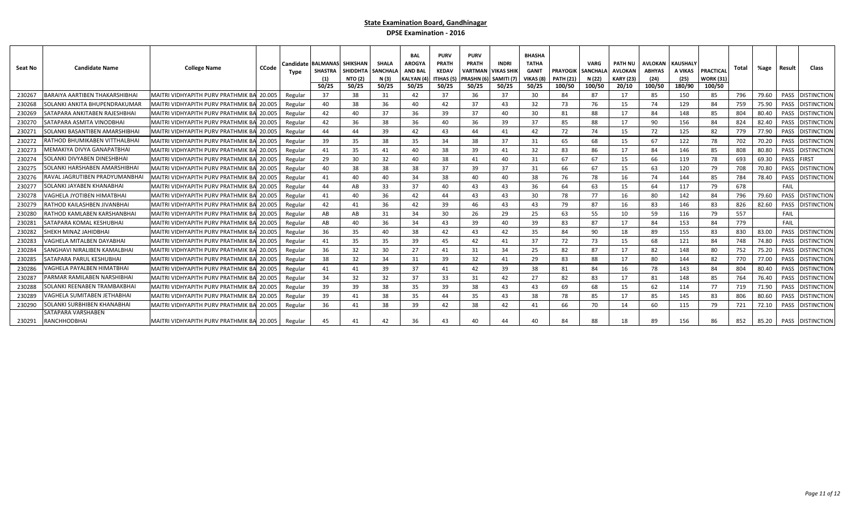| Seat No | <b>Candidate Name</b>                            | <b>College Name</b>                       | <b>CCode</b> | Candidate l<br>Type | <b>BALMANAS</b><br><b>SHASTRA</b><br>50/25 | <b>SHIKSHAN</b><br>SHIDDHTA<br><b>NTO (2)</b><br>50/25 | <b>SHALA</b><br>SANCHAL<br>N (3)<br>50/25 | <b>BAL</b><br><b>AROGYA</b><br><b>AND BAL</b><br>KALYAN (4)<br>50/25 | <b>PURV</b><br><b>PRATH</b><br><b>KEDAV</b><br><b>ITIHAS (5</b><br>50/25 | <b>PURV</b><br><b>PRATH</b><br>VARTMAN<br>PRASHN (6)<br>50/25 | <b>INDRI</b><br><b>VIKAS SHIK</b><br>SAMITI (7)<br>50/25 | <b>BHASHA</b><br><b>TATHA</b><br><b>GANIT</b><br>VIKAS (8)<br>50/25 | <b>PRAYOGIK</b><br><b>PATH (21)</b><br>100/50 | <b>VARG</b><br><b>SANCHALA</b><br>N (22)<br>100/50 | <b>PATH NU</b><br>AVLOKAN<br><b>KARY (23)</b><br>20/10 | <b>AVLOKAN</b><br>ABHYAS<br>(24)<br>100/50 | <b>KAUSHALY</b><br>A VIKAS<br>(25)<br>180/90 | <b>PRACTICAL</b><br><b>WORK (31)</b><br>100/50 | Total | %age  | Result | Class              |
|---------|--------------------------------------------------|-------------------------------------------|--------------|---------------------|--------------------------------------------|--------------------------------------------------------|-------------------------------------------|----------------------------------------------------------------------|--------------------------------------------------------------------------|---------------------------------------------------------------|----------------------------------------------------------|---------------------------------------------------------------------|-----------------------------------------------|----------------------------------------------------|--------------------------------------------------------|--------------------------------------------|----------------------------------------------|------------------------------------------------|-------|-------|--------|--------------------|
| 230267  | BARAIYA AARTIBEN THAKARSHIBHAI                   | MAITRI VIDHYAPITH PURV PRATHMIK BA 20.005 |              | Regular             | 37                                         | 38                                                     | 31                                        | 42                                                                   | 37                                                                       | 36                                                            | 37                                                       | 30                                                                  | 84                                            | 87                                                 | 17                                                     | 85                                         | 150                                          | 85                                             | 796   | 79.60 | PASS   | <b>DISTINCTION</b> |
| 230268  | SOLANKI ANKITA BHUPENDRAKUMAR                    | MAITRI VIDHYAPITH PURV PRATHMIK B         | 20.005       | Regular             | 40                                         | 38                                                     | 36                                        | 40                                                                   | 42                                                                       | 37                                                            | 43                                                       | 32                                                                  | 73                                            | 76                                                 | 15                                                     | 74                                         | 129                                          | 84                                             | 759   | 75.90 | PASS   | <b>DISTINCTION</b> |
| 230269  | SATAPARA ANKITABEN RAJESHBHAI                    | MAITRI VIDHYAPITH PURV PRATHMIK BA 20.005 |              | Regular             | 42                                         | 40                                                     | 37                                        | 36                                                                   | 39                                                                       | 37                                                            | 40                                                       | 30                                                                  | 81                                            | 88                                                 | 17                                                     | 84                                         | 148                                          | 85                                             | 804   | 80.40 | PASS   | <b>DISTINCTION</b> |
| 23027   | SATAPARA ASMITA VINODBHAI                        | MAITRI VIDHYAPITH PURV PRATHMIK B         | 20.005       | Regular             | 42                                         | 36                                                     | 38                                        | 36                                                                   | 40                                                                       | 36                                                            | 39                                                       | 37                                                                  | 85                                            | 88                                                 | 17                                                     | 90                                         | 156                                          | 84                                             | 824   | 82.40 | PASS   | <b>DISTINCTION</b> |
| 230271  | SOLANKI BASANTIBEN AMARSHIBHAI                   | MAITRI VIDHYAPITH PURV PRATHMIK BA 20.005 |              | Regular             | 44                                         | 44                                                     | 39                                        | 42                                                                   | 43                                                                       | 44                                                            | 41                                                       | 42                                                                  | 72                                            | 74                                                 | 15                                                     | 72                                         | 125                                          | 82                                             | 779   | 77.90 | PASS   | <b>DISTINCTION</b> |
| 23027   | RATHOD BHUMIKABEN VITTHALBHAI                    | <b>MAITRI VIDHYAPITH PURV PRATHMIK BA</b> | 20.005       | Regular             | 39                                         | 35                                                     | 38                                        | 35                                                                   | 34                                                                       | 38                                                            | 37                                                       | 31                                                                  | 65                                            | 68                                                 | 15                                                     | 67                                         | 122                                          | 78                                             | 702   | 70.20 | PASS   | <b>DISTINCTION</b> |
| 230273  | MEMAKIYA DIVYA GANAPATBHAI                       | MAITRI VIDHYAPITH PURV PRATHMIK BA 20.005 |              | Regular             | 41                                         | 35                                                     | 41                                        | 40                                                                   | 38                                                                       | 39                                                            | 41                                                       | 32                                                                  | 83                                            | 86                                                 | 17                                                     | 84                                         | 146                                          | 85                                             | 808   | 80.80 | PASS   | DISTINCTION        |
| 230274  | SOLANKI DIVYABEN DINESHBHAI                      | MAITRI VIDHYAPITH PURV PRATHMIK BA        | 20.005       | Regular             | 29                                         | 30                                                     | 32                                        | 40                                                                   | 38                                                                       | 41                                                            | 40                                                       | 31                                                                  | 67                                            | 67                                                 | 15                                                     | 66                                         | 119                                          | 78                                             | 693   | 69.30 | PASS   | <b>IRST</b>        |
| 230275  | OLANKI HARSHABEN AMARSHIBHAI                     | MAITRI VIDHYAPITH PURV PRATHMIK B         | 20.005       | Regular             | 40                                         | 38                                                     | 38                                        | 38                                                                   | 37                                                                       | 39                                                            | 37                                                       | 31                                                                  | 66                                            | 67                                                 | 15                                                     | 63                                         | 120                                          | 79                                             | 708   | 70.80 | PASS   | <b>DISTINCTION</b> |
| 230276  | RAVAL JAGRUTIBEN PRADYUMANBHAI                   | MAITRI VIDHYAPITH PURV PRATHMIK BA 20.005 |              | Regular             | 41                                         | 40                                                     | 40                                        | 34                                                                   | 38                                                                       | 40                                                            | 40                                                       | 38                                                                  | 76                                            | 78                                                 | 16                                                     | 74                                         | 144                                          | 85                                             | 784   | 78.40 | PASS   | <b>DISTINCTION</b> |
| 23027   | SOLANKI JAYABEN KHANABHAI                        | <b>MAITRI VIDHYAPITH PURV PRATHMIK B</b>  | 20.005       | Regular             | 44                                         | AB                                                     | 33                                        | 37                                                                   | 40                                                                       | 43                                                            | 43                                                       | 36                                                                  | 64                                            | 63                                                 | 15                                                     | 64                                         | 117                                          | 79                                             | 678   |       | FAIL   |                    |
| 230278  | VAGHELA JYOTIBEN HIMATBHAI                       | MAITRI VIDHYAPITH PURV PRATHMIK BA 20.005 |              | Regular             | 41                                         | 40                                                     | 36                                        | 42                                                                   | 44                                                                       | 43                                                            | 43                                                       | 30                                                                  | 78                                            | 77                                                 | 16                                                     | 80                                         | 142                                          | 84                                             | 796   | 79.60 | PASS   | <b>DISTINCTION</b> |
| 23027   | ATHOD KAILASHBEN JIVANBHAI:                      | MAITRI VIDHYAPITH PURV PRATHMIK BA        | 20.005       | Regular             | 42                                         | 41                                                     | 36                                        | 42                                                                   | 39                                                                       | 46                                                            | 43                                                       | 43                                                                  | 79                                            | 87                                                 | 16                                                     | 83                                         | 146                                          | 83                                             | 826   | 82.60 | PASS   | <b>DISTINCTION</b> |
| 230280  | RATHOD KAMLABEN KARSHANBHAI                      | MAITRI VIDHYAPITH PURV PRATHMIK BA 20.005 |              | Regular             | AB                                         | AB                                                     | 31                                        | 34                                                                   | 30                                                                       | 26                                                            | 29                                                       | 25                                                                  | 63                                            | 55                                                 | 10                                                     | 59                                         | 116                                          | 79                                             | 557   |       | FAIL   |                    |
| 230281  | SATAPARA KOMAL KESHUBHAI                         | MAITRI VIDHYAPITH PURV PRATHMIK BA 20.005 |              | Regular             | AB                                         | 40                                                     | 36                                        | 34                                                                   | 43                                                                       | 39                                                            | 40                                                       | 39                                                                  | 83                                            | 87                                                 | 17                                                     | 84                                         | 153                                          | 84                                             | 779   |       | FAIL   |                    |
| 230282  | HEKH MINAZ JAHIDBHA                              | MAITRI VIDHYAPITH PURV PRATHMIK B         | 20.005       | Regular             | 36                                         | 35                                                     | 40                                        | 38                                                                   | 42                                                                       | 43                                                            | 42                                                       | 35                                                                  | 84                                            | 90                                                 | 18                                                     | 89                                         | 155                                          | 83                                             | 830   | 83.00 | PASS   | <b>DISTINCTION</b> |
| 230283  | /AGHELA MITALBEN DAYABHAI                        | MAITRI VIDHYAPITH PURV PRATHMIK BA 20.005 |              | Regular             | 41                                         | 35                                                     | 35                                        | 39                                                                   | 45                                                                       | 42                                                            | 41                                                       | 37                                                                  | 72                                            | 73                                                 | 15                                                     | 68                                         | 121                                          | 84                                             | 748   | 74.80 | PASS   | <b>DISTINCTION</b> |
| 230284  | SANGHAVI NIRALIBEN KAMALBHA                      | MAITRI VIDHYAPITH PURV PRATHMIK BA        | 20.005       | Regular             | 36                                         | 32                                                     | 30                                        | 27                                                                   | 41                                                                       | 31                                                            | 34                                                       | 25                                                                  | 82                                            | 87                                                 | 17                                                     | 82                                         | 148                                          | 80                                             | 752   | 75.20 | PASS   | <b>DISTINCTION</b> |
| 230285  | SATAPARA PARUL KESHUBHAI                         | MAITRI VIDHYAPITH PURV PRATHMIK BA 20.005 |              | Regular             | 38                                         | 32                                                     | 34                                        | 31                                                                   | 39                                                                       | 32                                                            | 41                                                       | 29                                                                  | 83                                            | 88                                                 | 17                                                     | 80                                         | 144                                          | 82                                             | 770   | 77.00 | PASS   | distinction        |
| 230286  | /AGHELA PAYALBEN HIMATBHAI                       | MAITRI VIDHYAPITH PURV PRATHMIK BA 20.005 |              | Regular             | 41                                         | 41                                                     | 39                                        | 37                                                                   | 41                                                                       | 42                                                            | 39                                                       | 38                                                                  | 81                                            | 84                                                 | 16                                                     | 78                                         | 143                                          | 84                                             | 804   | 80.40 | PASS   | <b>DISTINCTION</b> |
| 23028   | ARMAR RAMILABEN NARSHIBHA                        | MAITRI VIDHYAPITH PURV PRATHMIK BA 20.005 |              | Regular             | 34                                         | 32                                                     | 32                                        | 37                                                                   | 33                                                                       | 31                                                            | 42                                                       | 27                                                                  | 82                                            | 83                                                 | 17                                                     | 81                                         | 148                                          | 85                                             | 764   | 76.40 | PASS   | <b>DISTINCTION</b> |
| 230288  | OLANKI REENABEN TRAMBAKBHA                       | MAITRI VIDHYAPITH PURV PRATHMIK BA        | 20.005       | Regular             | 39                                         | 39                                                     | 38                                        | 35                                                                   | 39                                                                       | 38                                                            | 43                                                       | 43                                                                  | 69                                            | 68                                                 | 15                                                     | 62                                         | 114                                          | 77                                             | 719   | 71.90 | PASS   | <b>DISTINCTIOI</b> |
| 23028   | <b>/AGHELA SUMITABEN JETHABHA</b>                | MAITRI VIDHYAPITH PURV PRATHMIK B.        | 20.005       | Regular             | 39                                         | 41                                                     | 38                                        | 35                                                                   | 44                                                                       | 35                                                            | 43                                                       | 38                                                                  | 78                                            | 85                                                 | 17                                                     | 85                                         | 145                                          | 83                                             | 806   | 80.60 | PASS   | <b>DISTINCTION</b> |
| 230290  | SOLANKI SURBHIBEN KHANABHAI                      | MAITRI VIDHYAPITH PURV PRATHMIK BA 20.005 |              | Regular             | 36                                         | 41                                                     | 38                                        | 39                                                                   | 42                                                                       | 38                                                            | 42                                                       | 41                                                                  | 66                                            | 70                                                 | 14                                                     | 60                                         | 115                                          | 79                                             | 721   | 72.10 | PASS   | <b>DISTINCTION</b> |
|         | <b>SATAPARA VARSHABEN</b><br>230291 RANCHHODBHAI | MAITRI VIDHYAPITH PURV PRATHMIK BA 20.005 |              | Regular             | 45                                         | 41                                                     |                                           | 36                                                                   | 43                                                                       | 40                                                            |                                                          | 40                                                                  | 84                                            | 88                                                 | 18                                                     | 89                                         | 156                                          |                                                | 852   | 85.20 |        | PASS DISTINCTION   |